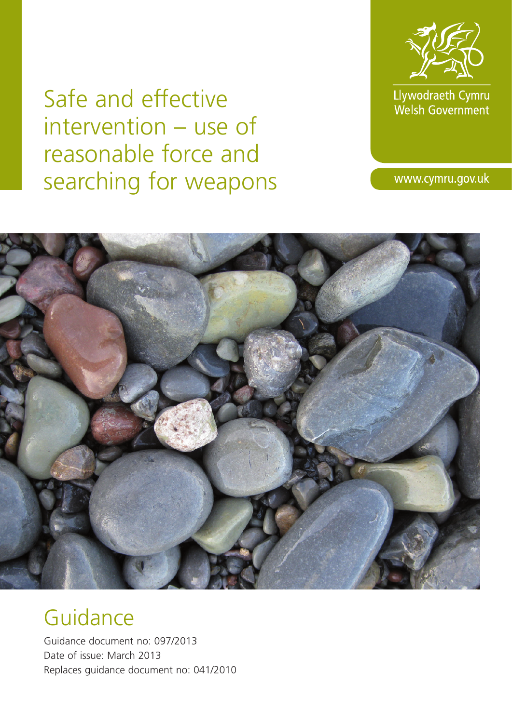Llywodraeth Cymru<br>Welsh Government

www.cymru.gov.uk

Safe and effective intervention – use of reasonable force and searching for weapons



# **Guidance**

Guidance document no: 097/2013 Date of issue: March 2013 Replaces guidance document no: 041/2010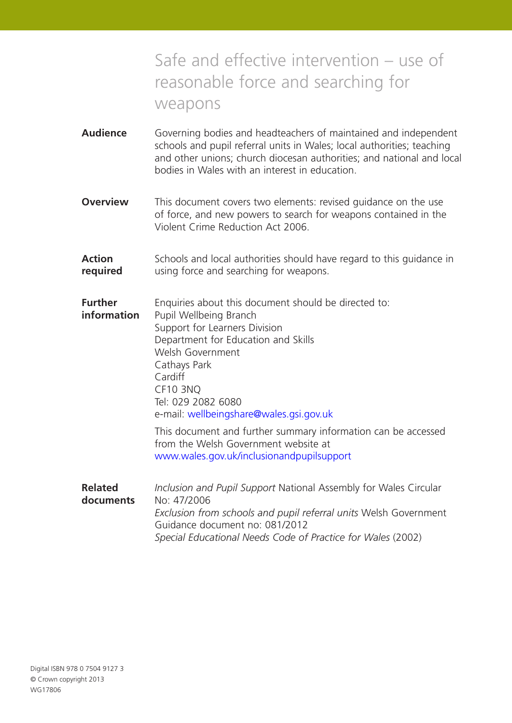# Safe and effective intervention – use of reasonable force and searching for weapons

- **Audience** Governing bodies and headteachers of maintained and independent schools and pupil referral units in Wales; local authorities; teaching and other unions; church diocesan authorities; and national and local bodies in Wales with an interest in education.
- **Overview** This document covers two elements: revised quidance on the use of force, and new powers to search for weapons contained in the Violent Crime Reduction Act 2006.
- **Action** Schools and local authorities should have regard to this quidance in **required** using force and searching for weapons.
- **Further** Enquiries about this document should be directed to: **information** Pupil Wellbeing Branch Support for Learners Division Department for Education and Skills Welsh Government Cathays Park Cardiff CF10 3NQ Tel: 029 2082 6080 e-mail: wellbeingshare@wales.gsi.gov.uk This document and further summary information can be accessed

from the Welsh Government website at www.wales.gov.uk/inclusionandpupilsupport

**Related** *Inclusion and Pupil Support* National Assembly for Wales Circular **documents** No: 47/2006 *Exclusion from schools and pupil referral units* Welsh Government Guidance document no: 081/2012 *Special Educational Needs Code of Practice for Wales* (2002)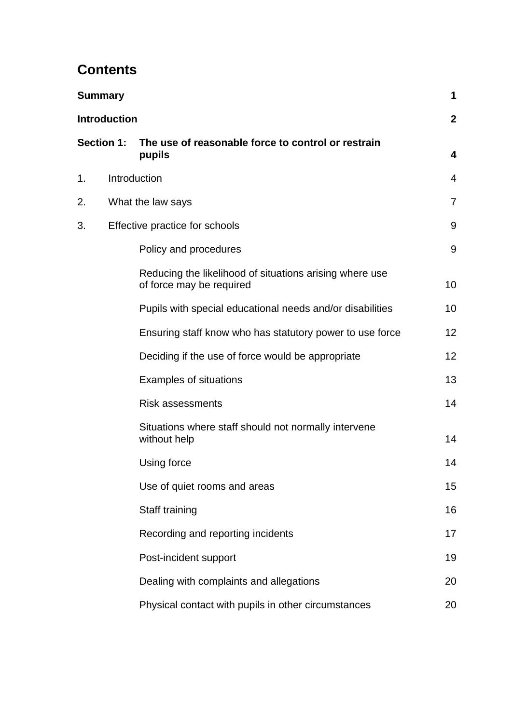# **Contents**

|    | Summary             |                                                                                     | 1               |
|----|---------------------|-------------------------------------------------------------------------------------|-----------------|
|    | <b>Introduction</b> |                                                                                     | $\mathbf{2}$    |
|    | <b>Section 1:</b>   | The use of reasonable force to control or restrain<br>pupils                        | 4               |
| 1. |                     | Introduction                                                                        | $\overline{4}$  |
| 2. |                     | What the law says                                                                   | $\overline{7}$  |
| 3. |                     | Effective practice for schools                                                      | 9               |
|    |                     | Policy and procedures                                                               | 9               |
|    |                     | Reducing the likelihood of situations arising where use<br>of force may be required | 10              |
|    |                     | Pupils with special educational needs and/or disabilities                           | 10              |
|    |                     | Ensuring staff know who has statutory power to use force                            | 12 <sub>2</sub> |
|    |                     | Deciding if the use of force would be appropriate                                   | 12              |
|    |                     | <b>Examples of situations</b>                                                       | 13              |
|    |                     | <b>Risk assessments</b>                                                             | 14              |
|    |                     | Situations where staff should not normally intervene<br>without help                | 14              |
|    |                     | Using force                                                                         | 14              |
|    |                     | Use of quiet rooms and areas                                                        | 15              |
|    |                     | Staff training                                                                      | 16              |
|    |                     | Recording and reporting incidents                                                   | 17              |
|    |                     | Post-incident support                                                               | 19              |
|    |                     | Dealing with complaints and allegations                                             | 20              |
|    |                     | Physical contact with pupils in other circumstances                                 | 20              |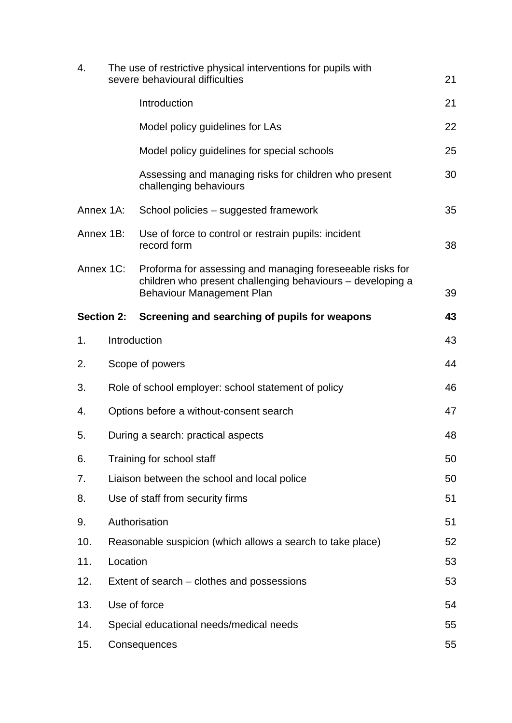| 4.                                                        | The use of restrictive physical interventions for pupils with<br>severe behavioural difficulties<br>21 |                                                                                                                                                             |    |
|-----------------------------------------------------------|--------------------------------------------------------------------------------------------------------|-------------------------------------------------------------------------------------------------------------------------------------------------------------|----|
|                                                           |                                                                                                        | Introduction                                                                                                                                                | 21 |
|                                                           |                                                                                                        | Model policy guidelines for LAs                                                                                                                             | 22 |
|                                                           |                                                                                                        | Model policy guidelines for special schools                                                                                                                 | 25 |
|                                                           |                                                                                                        | Assessing and managing risks for children who present<br>challenging behaviours                                                                             | 30 |
| Annex 1A:                                                 |                                                                                                        | School policies – suggested framework                                                                                                                       | 35 |
| Annex 1B:                                                 |                                                                                                        | Use of force to control or restrain pupils: incident<br>record form                                                                                         | 38 |
| Annex 1C:                                                 |                                                                                                        | Proforma for assessing and managing foreseeable risks for<br>children who present challenging behaviours - developing a<br><b>Behaviour Management Plan</b> | 39 |
| <b>Section 2:</b>                                         |                                                                                                        | Screening and searching of pupils for weapons                                                                                                               | 43 |
| 1.                                                        |                                                                                                        | Introduction                                                                                                                                                | 43 |
| 2.                                                        |                                                                                                        | Scope of powers                                                                                                                                             | 44 |
| 3.<br>Role of school employer: school statement of policy |                                                                                                        | 46                                                                                                                                                          |    |
| 4.                                                        | Options before a without-consent search<br>47                                                          |                                                                                                                                                             |    |
| 5.                                                        | During a search: practical aspects                                                                     |                                                                                                                                                             |    |
| 6.                                                        |                                                                                                        | Training for school staff                                                                                                                                   | 50 |
| 7.                                                        |                                                                                                        | Liaison between the school and local police                                                                                                                 | 50 |
| 8.                                                        |                                                                                                        | Use of staff from security firms                                                                                                                            | 51 |
| 9.                                                        |                                                                                                        | Authorisation                                                                                                                                               | 51 |
| 10.                                                       |                                                                                                        | Reasonable suspicion (which allows a search to take place)                                                                                                  | 52 |
| 11.                                                       | Location                                                                                               |                                                                                                                                                             | 53 |
| 12.                                                       | Extent of search – clothes and possessions                                                             |                                                                                                                                                             | 53 |
| 13.                                                       |                                                                                                        | Use of force                                                                                                                                                | 54 |
| 14.                                                       | Special educational needs/medical needs                                                                |                                                                                                                                                             |    |
| 15.                                                       |                                                                                                        | Consequences                                                                                                                                                | 55 |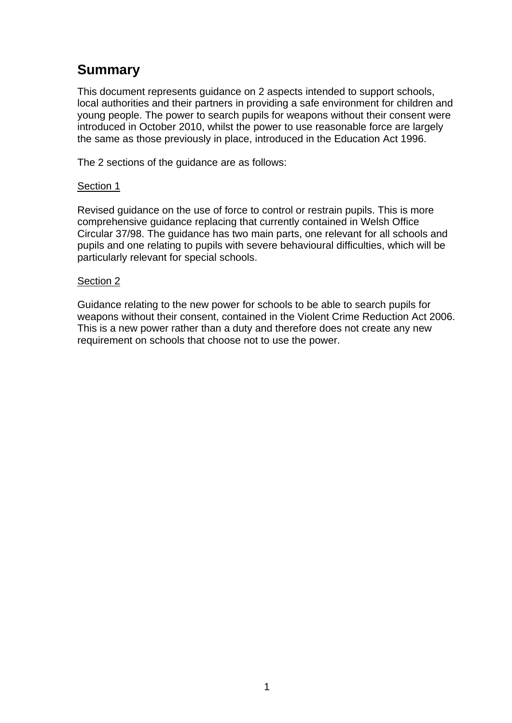# **Summary**

This document represents guidance on 2 aspects intended to support schools, local authorities and their partners in providing a safe environment for children and young people. The power to search pupils for weapons without their consent were introduced in October 2010, whilst the power to use reasonable force are largely the same as those previously in place, introduced in the Education Act 1996.

The 2 sections of the guidance are as follows:

### Section 1

Revised guidance on the use of force to control or restrain pupils. This is more comprehensive guidance replacing that currently contained in Welsh Office Circular 37/98. The guidance has two main parts, one relevant for all schools and pupils and one relating to pupils with severe behavioural difficulties, which will be particularly relevant for special schools.

#### Section 2

Guidance relating to the new power for schools to be able to search pupils for weapons without their consent, contained in the Violent Crime Reduction Act 2006. This is a new power rather than a duty and therefore does not create any new requirement on schools that choose not to use the power.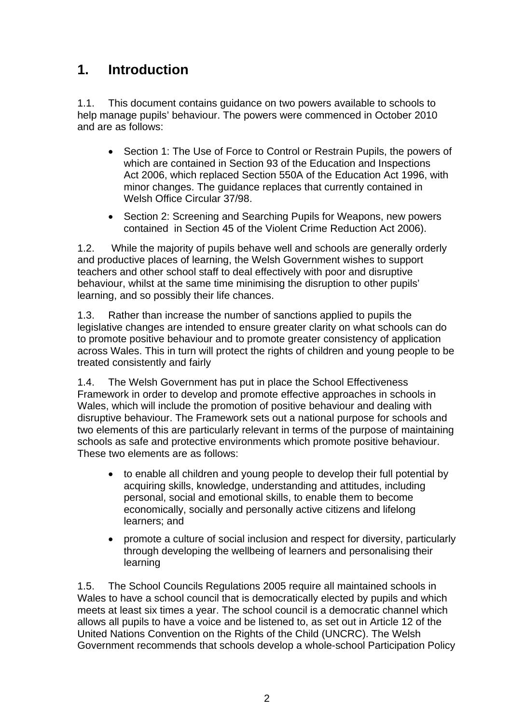# **1. Introduction**

1.1. This document contains guidance on two powers available to schools to help manage pupils' behaviour. The powers were commenced in October 2010 and are as follows:

- Section 1: The Use of Force to Control or Restrain Pupils, the powers of which are contained in Section 93 of the Education and Inspections Act 2006, which replaced Section 550A of the Education Act 1996, with minor changes. The guidance replaces that currently contained in Welsh Office Circular 37/98.
- Section 2: Screening and Searching Pupils for Weapons, new powers contained in Section 45 of the Violent Crime Reduction Act 2006).

1.2. While the majority of pupils behave well and schools are generally orderly and productive places of learning, the Welsh Government wishes to support teachers and other school staff to deal effectively with poor and disruptive behaviour, whilst at the same time minimising the disruption to other pupils' learning, and so possibly their life chances.

across Wales. This in turn will protect the rights of children and young people to be treated consistently and fairly 1.3. Rather than increase the number of sanctions applied to pupils the legislative changes are intended to ensure greater clarity on what schools can do to promote positive behaviour and to promote greater consistency of application

Wales, which will include the promotion of positive behaviour and dealing with disruptive behaviour. The Framework sets out a national purpose for schools and two elements of this are particularly relevant in terms of the purpose of maintaining 1.4. The Welsh Government has put in place the School Effectiveness Framework in order to develop and promote effective approaches in schools in schools as safe and protective environments which promote positive behaviour. These two elements are as follows:

- to enable all children and young people to develop their full potential by acquiring skills, knowledge, understanding and attitudes, including personal, social and emotional skills, to enable them to become economically, socially and personally active citizens and lifelong learners; and
- promote a culture of social inclusion and respect for diversity, particularly through developing the wellbeing of learners and personalising their learning

1.5. The School Councils Regulations 2005 require all maintained schools in Wales to have a school council that is democratically elected by pupils and which meets at least six times a year. The school council is a democratic channel which allows all pupils to have a voice and be listened to, as set out in Article 12 of the United Nations Convention on the Rights of the Child (UNCRC). The Welsh Government recommends that schools develop a whole-school Participation Policy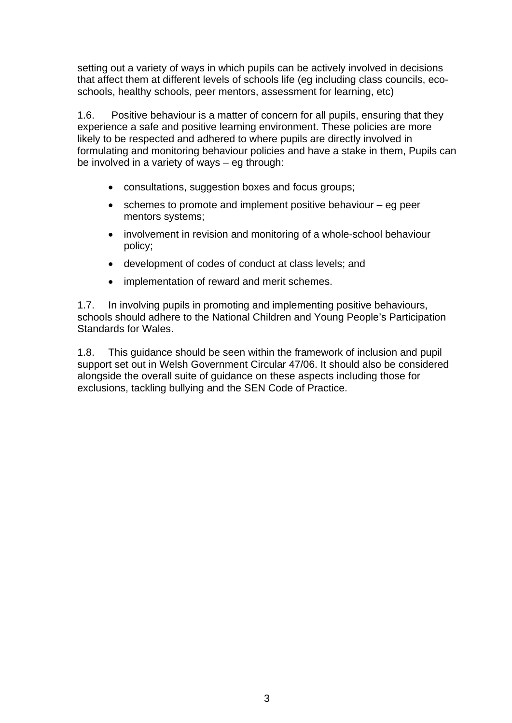setting out a variety of ways in which pupils can be actively involved in decisions that affect them at different levels of schools life (eg including class councils, ecoschools, healthy schools, peer mentors, assessment for learning, etc)

1.6. Positive behaviour is a matter of concern for all pupils, ensuring that they experience a safe and positive learning environment. These policies are more likely to be respected and adhered to where pupils are directly involved in formulating and monitoring behaviour policies and have a stake in them, Pupils can be involved in a variety of ways – eg through:

- consultations, suggestion boxes and focus groups;
- schemes to promote and implement positive behaviour eg peer mentors systems;
- involvement in revision and monitoring of a whole-school behaviour policy;
- development of codes of conduct at class levels; and
- implementation of reward and merit schemes.

1.7. In involving pupils in promoting and implementing positive behaviours, schools should adhere to the National Children and Young People's Participation Standards for Wales.

1.8. This guidance should be seen within the framework of inclusion and pupil support set out in Welsh Government Circular 47/06. It should also be considered alongside the overall suite of guidance on these aspects including those for exclusions, tackling bullying and the SEN Code of Practice.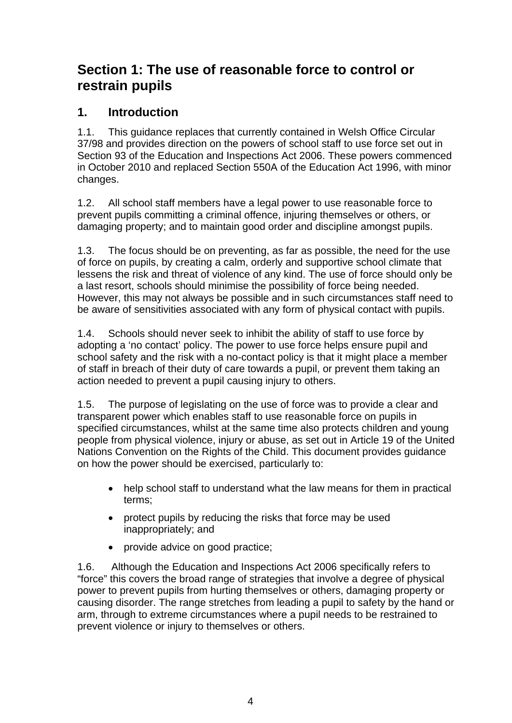# **Section 1: The use of reasonable force to control or restrain pupils**

### **1. Introduction**

1.1. This guidance replaces that currently contained in Welsh Office Circular 37/98 and provides direction on the powers of school staff to use force set out in Section 93 of the Education and Inspections Act 2006. These powers commenced in October 2010 and replaced Section 550A of the Education Act 1996, with minor changes.

1.2. All school staff members have a legal power to use reasonable force to prevent pupils committing a criminal offence, injuring themselves or others, or damaging property; and to maintain good order and discipline amongst pupils.

1.3. The focus should be on preventing, as far as possible, the need for the use of force on pupils, by creating a calm, orderly and supportive school climate that lessens the risk and threat of violence of any kind. The use of force should only be a last resort, schools should minimise the possibility of force being needed. However, this may not always be possible and in such circumstances staff need to be aware of sensitivities associated with any form of physical contact with pupils.

1.4. Schools should never seek to inhibit the ability of staff to use force by adopting a 'no contact' policy. The power to use force helps ensure pupil and school safety and the risk with a no-contact policy is that it might place a member of staff in breach of their duty of care towards a pupil, or prevent them taking an action needed to prevent a pupil causing injury to others.

1.5. The purpose of legislating on the use of force was to provide a clear and transparent power which enables staff to use reasonable force on pupils in specified circumstances, whilst at the same time also protects children and young people from physical violence, injury or abuse, as set out in Article 19 of the United Nations Convention on the Rights of the Child. This document provides guidance on how the power should be exercised, particularly to:

- help school staff to understand what the law means for them in practical terms;
- protect pupils by reducing the risks that force may be used inappropriately; and
- provide advice on good practice;

1.6. Although the Education and Inspections Act 2006 specifically refers to "force" this covers the broad range of strategies that involve a degree of physical power to prevent pupils from hurting themselves or others, damaging property or causing disorder. The range stretches from leading a pupil to safety by the hand or arm, through to extreme circumstances where a pupil needs to be restrained to prevent violence or injury to themselves or others.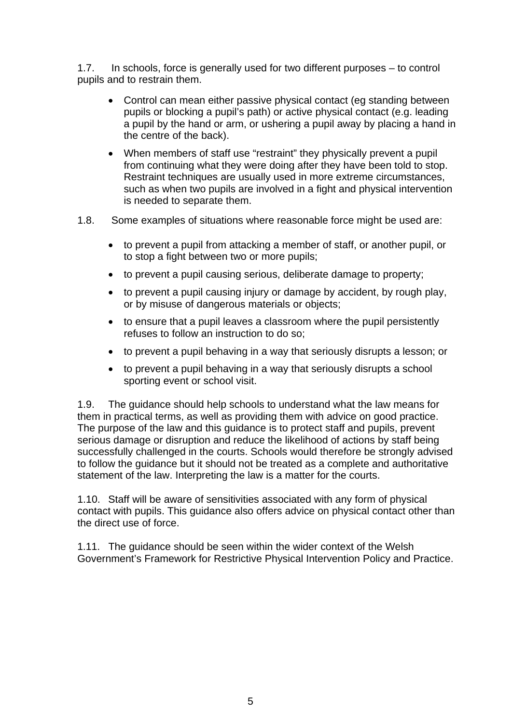1.7. In schools, force is generally used for two different purposes – to control pupils and to restrain them.

- Control can mean either passive physical contact (eg standing between pupils or blocking a pupil's path) or active physical contact (e.g. leading a pupil by the hand or arm, or ushering a pupil away by placing a hand in the centre of the back).
- When members of staff use "restraint" they physically prevent a pupil from continuing what they were doing after they have been told to stop. Restraint techniques are usually used in more extreme circumstances, such as when two pupils are involved in a fight and physical intervention is needed to separate them.
- 1.8. Some examples of situations where reasonable force might be used are:
	- to prevent a pupil from attacking a member of staff, or another pupil, or to stop a fight between two or more pupils;
	- to prevent a pupil causing serious, deliberate damage to property;
	- to prevent a pupil causing injury or damage by accident, by rough play, or by misuse of dangerous materials or objects;
	- to ensure that a pupil leaves a classroom where the pupil persistently refuses to follow an instruction to do so;
	- to prevent a pupil behaving in a way that seriously disrupts a lesson; or
	- to prevent a pupil behaving in a way that seriously disrupts a school sporting event or school visit.

serious damage or disruption and reduce the likelihood of actions by staff being 1.9. The guidance should help schools to understand what the law means for them in practical terms, as well as providing them with advice on good practice. The purpose of the law and this guidance is to protect staff and pupils, prevent successfully challenged in the courts. Schools would therefore be strongly advised to follow the guidance but it should not be treated as a complete and authoritative statement of the law. Interpreting the law is a matter for the courts.

contact with pupils. This guidance also offers advice on physical contact other than the direct use of force. 1.10. Staff will be aware of sensitivities associated with any form of physical

1.11. The guidance should be seen within the wider context of the Welsh Government's Framework for Restrictive Physical Intervention Policy and Practice.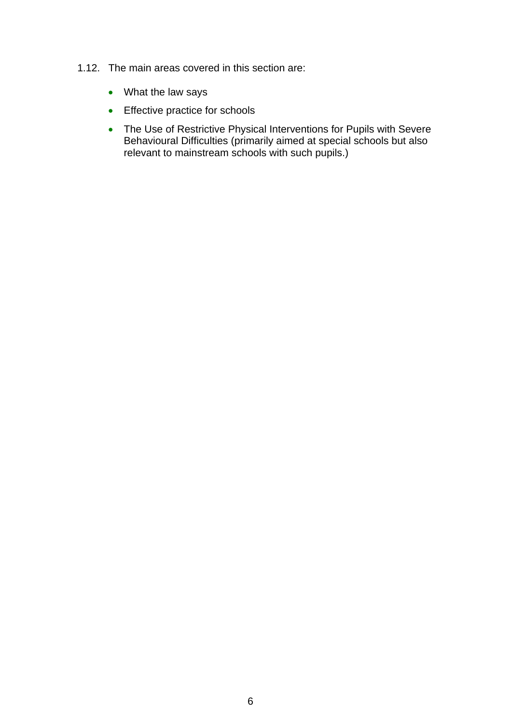- 1.12. The main areas covered in this section are:
	- What the law says
	- Effective practice for schools
	- The Use of Restrictive Physical Interventions for Pupils with Severe Behavioural Difficulties (primarily aimed at special schools but also relevant to mainstream schools with such pupils.)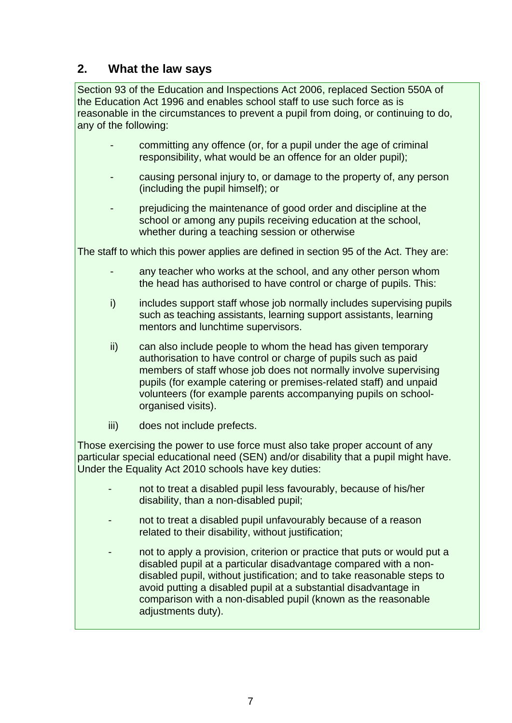### **2. What the law says**

Section 93 of the Education and Inspections Act 2006, replaced Section 550A of the Education Act 1996 and enables school staff to use such force as is reasonable in the circumstances to prevent a pupil from doing, or continuing to do, any of the following:

- committing any offence (or, for a pupil under the age of criminal responsibility, what would be an offence for an older pupil);
- causing personal injury to, or damage to the property of, any person (including the pupil himself); or
- prejudicing the maintenance of good order and discipline at the school or among any pupils receiving education at the school, whether during a teaching session or otherwise

The staff to which this power applies are defined in section 95 of the Act. They are:

- any teacher who works at the school, and any other person whom the head has authorised to have control or charge of pupils. This:
- i) includes support staff whose job normally includes supervising pupils such as teaching assistants, learning support assistants, learning mentors and lunchtime supervisors.
- ii) can also include people to whom the head has given temporary authorisation to have control or charge of pupils such as paid members of staff whose job does not normally involve supervising pupils (for example catering or premises-related staff) and unpaid volunteers (for example parents accompanying pupils on schoolorganised visits).
- iii) does not include prefects.

Those exercising the power to use force must also take proper account of any particular special educational need (SEN) and/or disability that a pupil might have. Under the Equality Act 2010 schools have key duties:

- not to treat a disabled pupil less favourably, because of his/her disability, than a non-disabled pupil;
- not to treat a disabled pupil unfavourably because of a reason related to their disability, without justification;
- not to apply a provision, criterion or practice that puts or would put a disabled pupil at a particular disadvantage compared with a nondisabled pupil, without justification; and to take reasonable steps to avoid putting a disabled pupil at a substantial disadvantage in comparison with a non-disabled pupil (known as the reasonable adjustments duty).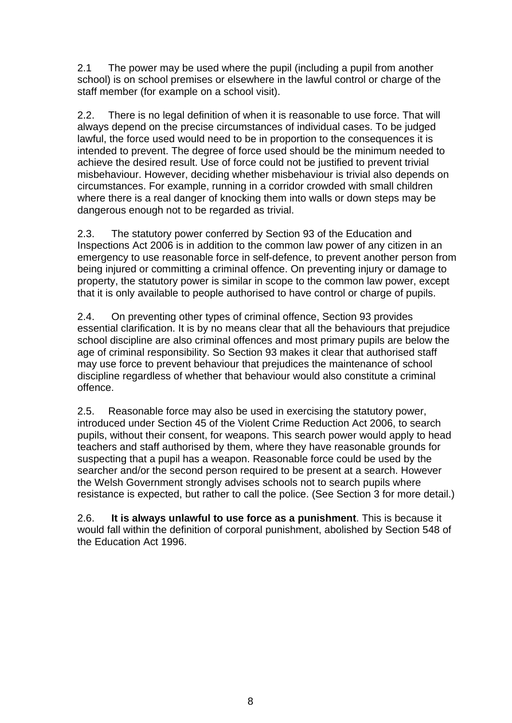2.1 The power may be used where the pupil (including a pupil from another school) is on school premises or elsewhere in the lawful control or charge of the staff member (for example on a school visit).

2.2. There is no legal definition of when it is reasonable to use force. That will always depend on the precise circumstances of individual cases. To be judged lawful, the force used would need to be in proportion to the consequences it is intended to prevent. The degree of force used should be the minimum needed to achieve the desired result. Use of force could not be justified to prevent trivial misbehaviour. However, deciding whether misbehaviour is trivial also depends on circumstances. For example, running in a corridor crowded with small children where there is a real danger of knocking them into walls or down steps may be dangerous enough not to be regarded as trivial.

2.3. The statutory power conferred by Section 93 of the Education and Inspections Act 2006 is in addition to the common law power of any citizen in an emergency to use reasonable force in self-defence, to prevent another person from being injured or committing a criminal offence. On preventing injury or damage to property, the statutory power is similar in scope to the common law power, except that it is only available to people authorised to have control or charge of pupils.

2.4. On preventing other types of criminal offence, Section 93 provides essential clarification. It is by no means clear that all the behaviours that prejudice school discipline are also criminal offences and most primary pupils are below the age of criminal responsibility. So Section 93 makes it clear that authorised staff may use force to prevent behaviour that prejudices the maintenance of school discipline regardless of whether that behaviour would also constitute a criminal offence.

2.5. Reasonable force may also be used in exercising the statutory power, introduced under Section 45 of the Violent Crime Reduction Act 2006, to search pupils, without their consent, for weapons. This search power would apply to head teachers and staff authorised by them, where they have reasonable grounds for suspecting that a pupil has a weapon. Reasonable force could be used by the searcher and/or the second person required to be present at a search. However the Welsh Government strongly advises schools not to search pupils where resistance is expected, but rather to call the police. (See Section 3 for more detail.)

2.6. **It is always unlawful to use force as a punishment**. This is because it would fall within the definition of corporal punishment, abolished by Section 548 of the Education Act 1996.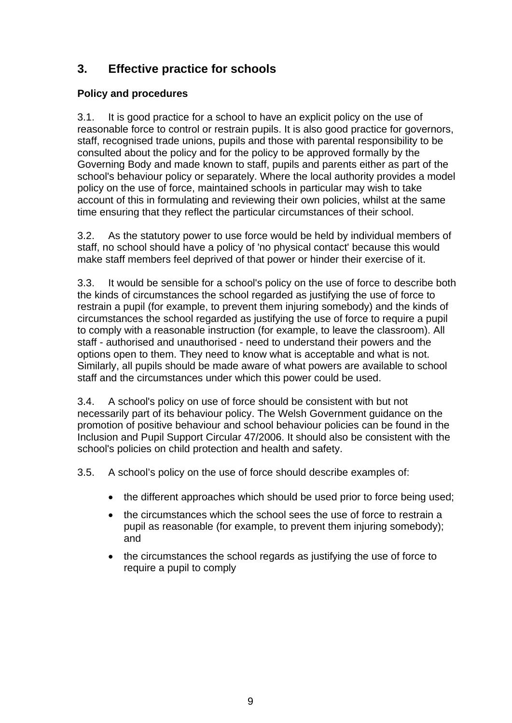## **3. Effective practice for schools**

### **Policy and procedures**

3.1. It is good practice for a school to have an explicit policy on the use of reasonable force to control or restrain pupils. It is also good practice for governors, staff, recognised trade unions, pupils and those with parental responsibility to be consulted about the policy and for the policy to be approved formally by the Governing Body and made known to staff, pupils and parents either as part of the school's behaviour policy or separately. Where the local authority provides a model policy on the use of force, maintained schools in particular may wish to take account of this in formulating and reviewing their own policies, whilst at the same time ensuring that they reflect the particular circumstances of their school.

3.2. As the statutory power to use force would be held by individual members of staff, no school should have a policy of 'no physical contact' because this would make staff members feel deprived of that power or hinder their exercise of it.

3.3. It would be sensible for a school's policy on the use of force to describe both the kinds of circumstances the school regarded as justifying the use of force to restrain a pupil (for example, to prevent them injuring somebody) and the kinds of circumstances the school regarded as justifying the use of force to require a pupil to comply with a reasonable instruction (for example, to leave the classroom). All staff - authorised and unauthorised - need to understand their powers and the options open to them. They need to know what is acceptable and what is not. Similarly, all pupils should be made aware of what powers are available to school staff and the circumstances under which this power could be used.

3.4. A school's policy on use of force should be consistent with but not necessarily part of its behaviour policy. The Welsh Government guidance on the promotion of positive behaviour and school behaviour policies can be found in the Inclusion and Pupil Support Circular 47/2006. It should also be consistent with the school's policies on child protection and health and safety.

3.5. A school's policy on the use of force should describe examples of:

- the different approaches which should be used prior to force being used;
- the circumstances which the school sees the use of force to restrain a pupil as reasonable (for example, to prevent them injuring somebody); and
- the circumstances the school regards as justifying the use of force to require a pupil to comply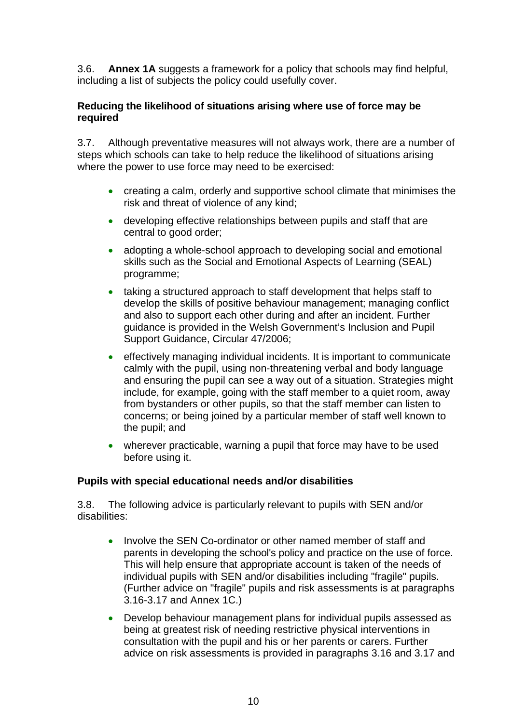3.6. **Annex 1A** suggests a framework for a policy that schools may find helpful, including a list of subjects the policy could usefully cover.

### **Reducing the likelihood of situations arising where use of force may be required**

3.7. Although preventative measures will not always work, there are a number of steps which schools can take to help reduce the likelihood of situations arising where the power to use force may need to be exercised:

- creating a calm, orderly and supportive school climate that minimises the risk and threat of violence of any kind;
- developing effective relationships between pupils and staff that are central to good order;
- adopting a whole-school approach to developing social and emotional skills such as the Social and Emotional Aspects of Learning (SEAL) programme;
- taking a structured approach to staff development that helps staff to develop the skills of positive behaviour management; managing conflict and also to support each other during and after an incident. Further guidance is provided in the Welsh Government's Inclusion and Pupil Support Guidance, Circular 47/2006;
- effectively managing individual incidents. It is important to communicate calmly with the pupil, using non-threatening verbal and body language and ensuring the pupil can see a way out of a situation. Strategies might include, for example, going with the staff member to a quiet room, away from bystanders or other pupils, so that the staff member can listen to concerns; or being joined by a particular member of staff well known to the pupil; and
- wherever practicable, warning a pupil that force may have to be used before using it.

### **Pupils with special educational needs and/or disabilities**

3.8. The following advice is particularly relevant to pupils with SEN and/or disabilities:

- Involve the SEN Co-ordinator or other named member of staff and parents in developing the school's policy and practice on the use of force. This will help ensure that appropriate account is taken of the needs of individual pupils with SEN and/or disabilities including "fragile" pupils. (Further advice on "fragile" pupils and risk assessments is at paragraphs 3.16-3.17 and Annex 1C.)
- Develop behaviour management plans for individual pupils assessed as being at greatest risk of needing restrictive physical interventions in consultation with the pupil and his or her parents or carers. Further advice on risk assessments is provided in paragraphs 3.16 and 3.17 and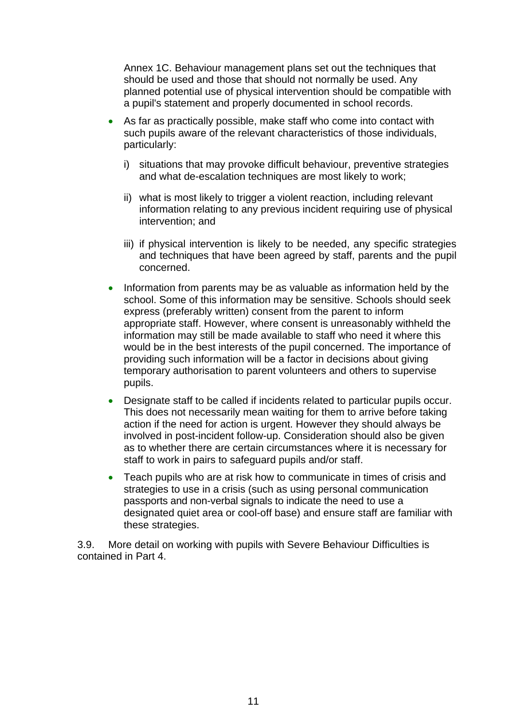Annex 1C. Behaviour management plans set out the techniques that should be used and those that should not normally be used. Any planned potential use of physical intervention should be compatible with a pupil's statement and properly documented in school records.

- As far as practically possible, make staff who come into contact with such pupils aware of the relevant characteristics of those individuals, particularly:
	- i) situations that may provoke difficult behaviour, preventive strategies and what de-escalation techniques are most likely to work;
	- ii) what is most likely to trigger a violent reaction, including relevant information relating to any previous incident requiring use of physical intervention; and
	- iii) if physical intervention is likely to be needed, any specific strategies and techniques that have been agreed by staff, parents and the pupil concerned.
- Information from parents may be as valuable as information held by the school. Some of this information may be sensitive. Schools should seek express (preferably written) consent from the parent to inform appropriate staff. However, where consent is unreasonably withheld the information may still be made available to staff who need it where this would be in the best interests of the pupil concerned. The importance of providing such information will be a factor in decisions about giving temporary authorisation to parent volunteers and others to supervise pupils.
- Designate staff to be called if incidents related to particular pupils occur. This does not necessarily mean waiting for them to arrive before taking action if the need for action is urgent. However they should always be involved in post-incident follow-up. Consideration should also be given as to whether there are certain circumstances where it is necessary for staff to work in pairs to safeguard pupils and/or staff.
- Teach pupils who are at risk how to communicate in times of crisis and strategies to use in a crisis (such as using personal communication passports and non-verbal signals to indicate the need to use a designated quiet area or cool-off base) and ensure staff are familiar with these strategies.

3.9. More detail on working with pupils with Severe Behaviour Difficulties is contained in Part 4.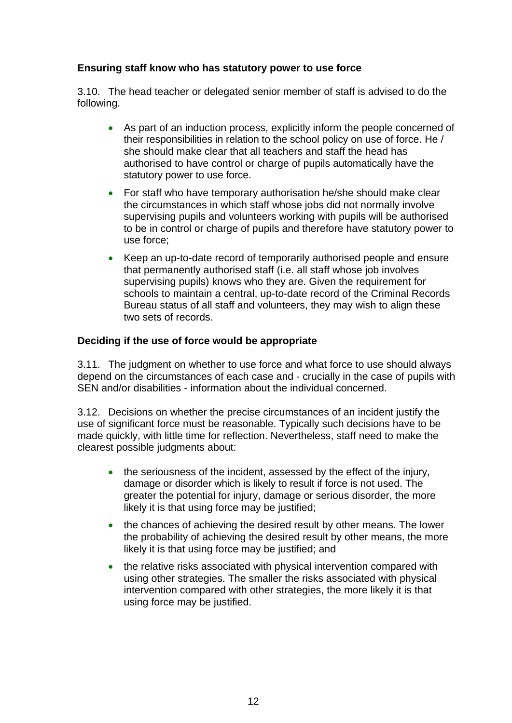### **Ensuring staff know who has statutory power to use force**

3.10. The head teacher or delegated senior member of staff is advised to do the following.

- As part of an induction process, explicitly inform the people concerned of their responsibilities in relation to the school policy on use of force. He / she should make clear that all teachers and staff the head has authorised to have control or charge of pupils automatically have the statutory power to use force.
- For staff who have temporary authorisation he/she should make clear the circumstances in which staff whose jobs did not normally involve supervising pupils and volunteers working with pupils will be authorised to be in control or charge of pupils and therefore have statutory power to use force;
- Keep an up-to-date record of temporarily authorised people and ensure that permanently authorised staff (i.e. all staff whose job involves supervising pupils) knows who they are. Given the requirement for schools to maintain a central, up-to-date record of the Criminal Records Bureau status of all staff and volunteers, they may wish to align these two sets of records.

### **Deciding if the use of force would be appropriate**

3.11. The judgment on whether to use force and what force to use should always depend on the circumstances of each case and - crucially in the case of pupils with SEN and/or disabilities - information about the individual concerned.

3.12. Decisions on whether the precise circumstances of an incident justify the use of significant force must be reasonable. Typically such decisions have to be made quickly, with little time for reflection. Nevertheless, staff need to make the clearest possible judgments about:

- the seriousness of the incident, assessed by the effect of the injury, damage or disorder which is likely to result if force is not used. The greater the potential for injury, damage or serious disorder, the more likely it is that using force may be justified;
- the chances of achieving the desired result by other means. The lower the probability of achieving the desired result by other means, the more likely it is that using force may be justified; and
- the relative risks associated with physical intervention compared with using other strategies. The smaller the risks associated with physical intervention compared with other strategies, the more likely it is that using force may be justified.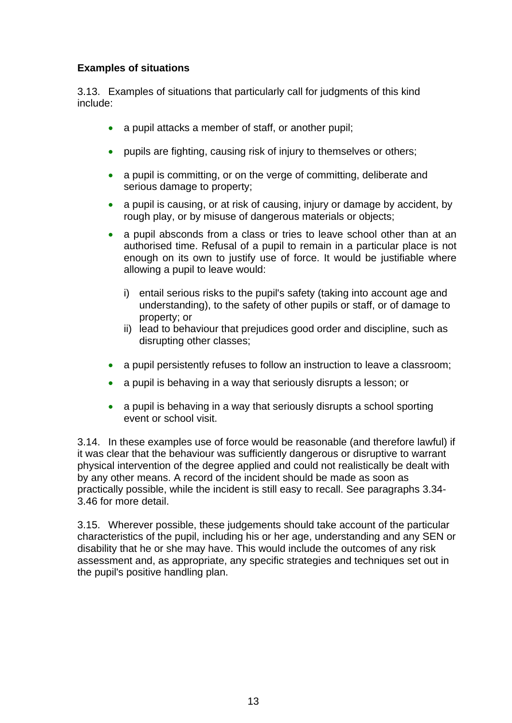### **Examples of situations**

3.13. Examples of situations that particularly call for judgments of this kind include:

- a pupil attacks a member of staff, or another pupil;
- pupils are fighting, causing risk of injury to themselves or others;
- a pupil is committing, or on the verge of committing, deliberate and serious damage to property;
- a pupil is causing, or at risk of causing, injury or damage by accident, by rough play, or by misuse of dangerous materials or objects;
- a pupil absconds from a class or tries to leave school other than at an authorised time. Refusal of a pupil to remain in a particular place is not enough on its own to justify use of force. It would be justifiable where allowing a pupil to leave would:
	- i) entail serious risks to the pupil's safety (taking into account age and understanding), to the safety of other pupils or staff, or of damage to property; or
	- ii) lead to behaviour that prejudices good order and discipline, such as disrupting other classes;
- a pupil persistently refuses to follow an instruction to leave a classroom;
- a pupil is behaving in a way that seriously disrupts a lesson; or
- a pupil is behaving in a way that seriously disrupts a school sporting event or school visit.

3.14. In these examples use of force would be reasonable (and therefore lawful) if it was clear that the behaviour was sufficiently dangerous or disruptive to warrant physical intervention of the degree applied and could not realistically be dealt with by any other means. A record of the incident should be made as soon as practically possible, while the incident is still easy to recall. See paragraphs 3.34- 3.46 for more detail.

3.15. Wherever possible, these judgements should take account of the particular characteristics of the pupil, including his or her age, understanding and any SEN or disability that he or she may have. This would include the outcomes of any risk assessment and, as appropriate, any specific strategies and techniques set out in the pupil's positive handling plan.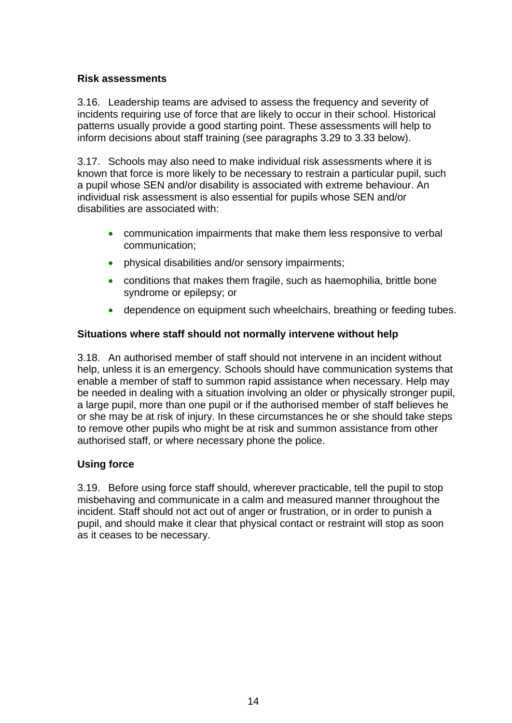### **Risk assessments**

3.16. Leadership teams are advised to assess the frequency and severity of incidents requiring use of force that are likely to occur in their school. Historical patterns usually provide a good starting point. These assessments will help to inform decisions about staff training (see paragraphs 3.29 to 3.33 below).

3.17. Schools may also need to make individual risk assessments where it is known that force is more likely to be necessary to restrain a particular pupil, such a pupil whose SEN and/or disability is associated with extreme behaviour. An individual risk assessment is also essential for pupils whose SEN and/or disabilities are associated with:

- communication impairments that make them less responsive to verbal communication;
- physical disabilities and/or sensory impairments;
- conditions that makes them fragile, such as haemophilia, brittle bone syndrome or epilepsy; or
- dependence on equipment such wheelchairs, breathing or feeding tubes.

### **Situations where staff should not normally intervene without help**

3.18. An authorised member of staff should not intervene in an incident without help, unless it is an emergency. Schools should have communication systems that enable a member of staff to summon rapid assistance when necessary. Help may be needed in dealing with a situation involving an older or physically stronger pupil, a large pupil, more than one pupil or if the authorised member of staff believes he or she may be at risk of injury. In these circumstances he or she should take steps to remove other pupils who might be at risk and summon assistance from other authorised staff, or where necessary phone the police.

### **Using force**

3.19. Before using force staff should, wherever practicable, tell the pupil to stop misbehaving and communicate in a calm and measured manner throughout the incident. Staff should not act out of anger or frustration, or in order to punish a pupil, and should make it clear that physical contact or restraint will stop as soon as it ceases to be necessary.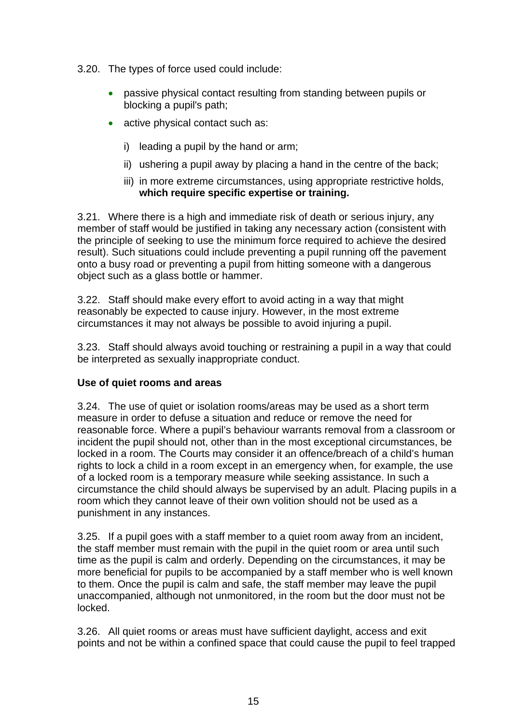- 3.20. The types of force used could include:
	- passive physical contact resulting from standing between pupils or blocking a pupil's path;
	- active physical contact such as:
		- i) leading a pupil by the hand or arm;
		- ii) ushering a pupil away by placing a hand in the centre of the back;
		- iii) in more extreme circumstances, using appropriate restrictive holds, **which require specific expertise or training.**

3.21. Where there is a high and immediate risk of death or serious injury, any member of staff would be justified in taking any necessary action (consistent with the principle of seeking to use the minimum force required to achieve the desired result). Such situations could include preventing a pupil running off the pavement onto a busy road or preventing a pupil from hitting someone with a dangerous object such as a glass bottle or hammer.

3.22. Staff should make every effort to avoid acting in a way that might reasonably be expected to cause injury. However, in the most extreme circumstances it may not always be possible to avoid injuring a pupil.

3.23. Staff should always avoid touching or restraining a pupil in a way that could be interpreted as sexually inappropriate conduct.

### **Use of quiet rooms and areas**

3.24. The use of quiet or isolation rooms/areas may be used as a short term measure in order to defuse a situation and reduce or remove the need for reasonable force. Where a pupil's behaviour warrants removal from a classroom or incident the pupil should not, other than in the most exceptional circumstances, be locked in a room. The Courts may consider it an offence/breach of a child's human rights to lock a child in a room except in an emergency when, for example, the use of a locked room is a temporary measure while seeking assistance. In such a circumstance the child should always be supervised by an adult. Placing pupils in a room which they cannot leave of their own volition should not be used as a punishment in any instances.

3.25. If a pupil goes with a staff member to a quiet room away from an incident, the staff member must remain with the pupil in the quiet room or area until such time as the pupil is calm and orderly. Depending on the circumstances, it may be more beneficial for pupils to be accompanied by a staff member who is well known to them. Once the pupil is calm and safe, the staff member may leave the pupil unaccompanied, although not unmonitored, in the room but the door must not be locked.

3.26. All quiet rooms or areas must have sufficient daylight, access and exit points and not be within a confined space that could cause the pupil to feel trapped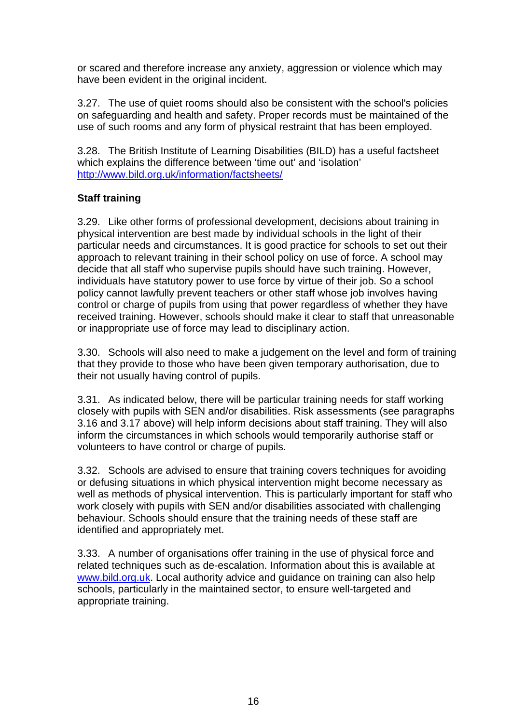or scared and therefore increase any anxiety, aggression or violence which may have been evident in the original incident.

3.27. The use of quiet rooms should also be consistent with the school's policies on safeguarding and health and safety. Proper records must be maintained of the use of such rooms and any form of physical restraint that has been employed.

3.28. The British Institute of Learning Disabilities (BILD) has a useful factsheet which explains the difference between 'time out' and 'isolation' <http://www.bild.org.uk/information/factsheets/>

### **Staff training**

3.29. Like other forms of professional development, decisions about training in physical intervention are best made by individual schools in the light of their particular needs and circumstances. It is good practice for schools to set out their approach to relevant training in their school policy on use of force. A school may decide that all staff who supervise pupils should have such training. However, individuals have statutory power to use force by virtue of their job. So a school policy cannot lawfully prevent teachers or other staff whose job involves having control or charge of pupils from using that power regardless of whether they have received training. However, schools should make it clear to staff that unreasonable or inappropriate use of force may lead to disciplinary action.

3.30. Schools will also need to make a judgement on the level and form of training that they provide to those who have been given temporary authorisation, due to their not usually having control of pupils.

3.31. As indicated below, there will be particular training needs for staff working closely with pupils with SEN and/or disabilities. Risk assessments (see paragraphs 3.16 and 3.17 above) will help inform decisions about staff training. They will also inform the circumstances in which schools would temporarily authorise staff or volunteers to have control or charge of pupils.

3.32. Schools are advised to ensure that training covers techniques for avoiding or defusing situations in which physical intervention might become necessary as well as methods of physical intervention. This is particularly important for staff who work closely with pupils with SEN and/or disabilities associated with challenging behaviour. Schools should ensure that the training needs of these staff are identified and appropriately met.

3.33. A number of organisations offer training in the use of physical force and related techniques such as de-escalation. Information about this is available at [www.bild.org.uk.](http://www.bild.org.uk/) Local authority advice and guidance on training can also help schools, particularly in the maintained sector, to ensure well-targeted and appropriate training.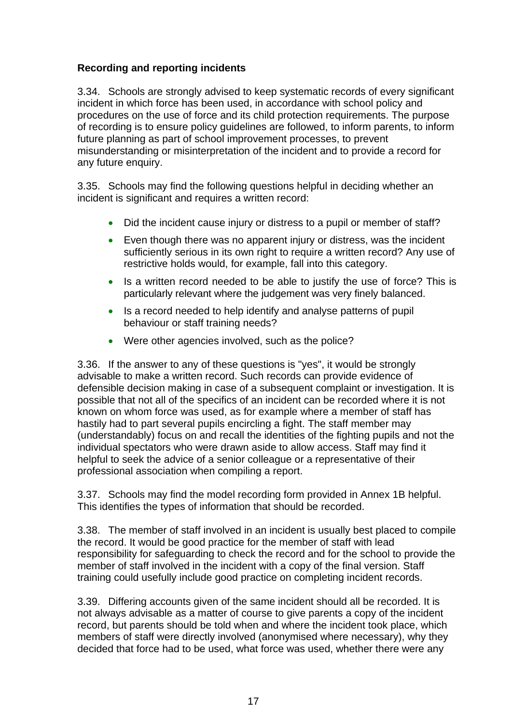### **Recording and reporting incidents**

3.34. Schools are strongly advised to keep systematic records of every significant incident in which force has been used, in accordance with school policy and procedures on the use of force and its child protection requirements. The purpose of recording is to ensure policy guidelines are followed, to inform parents, to inform future planning as part of school improvement processes, to prevent misunderstanding or misinterpretation of the incident and to provide a record for any future enquiry.

3.35. Schools may find the following questions helpful in deciding whether an incident is significant and requires a written record:

- Did the incident cause injury or distress to a pupil or member of staff?
- Even though there was no apparent injury or distress, was the incident sufficiently serious in its own right to require a written record? Any use of restrictive holds would, for example, fall into this category.
- Is a written record needed to be able to justify the use of force? This is particularly relevant where the judgement was very finely balanced.
- Is a record needed to help identify and analyse patterns of pupil behaviour or staff training needs?
- Were other agencies involved, such as the police?

3.36. If the answer to any of these questions is "yes", it would be strongly advisable to make a written record. Such records can provide evidence of defensible decision making in case of a subsequent complaint or investigation. It is possible that not all of the specifics of an incident can be recorded where it is not known on whom force was used, as for example where a member of staff has hastily had to part several pupils encircling a fight. The staff member may (understandably) focus on and recall the identities of the fighting pupils and not the individual spectators who were drawn aside to allow access. Staff may find it helpful to seek the advice of a senior colleague or a representative of their professional association when compiling a report.

3.37. Schools may find the model recording form provided in Annex 1B helpful. This identifies the types of information that should be recorded.

3.38. The member of staff involved in an incident is usually best placed to compile the record. It would be good practice for the member of staff with lead responsibility for safeguarding to check the record and for the school to provide the member of staff involved in the incident with a copy of the final version. Staff training could usefully include good practice on completing incident records.

3.39. Differing accounts given of the same incident should all be recorded. It is not always advisable as a matter of course to give parents a copy of the incident record, but parents should be told when and where the incident took place, which members of staff were directly involved (anonymised where necessary), why they decided that force had to be used, what force was used, whether there were any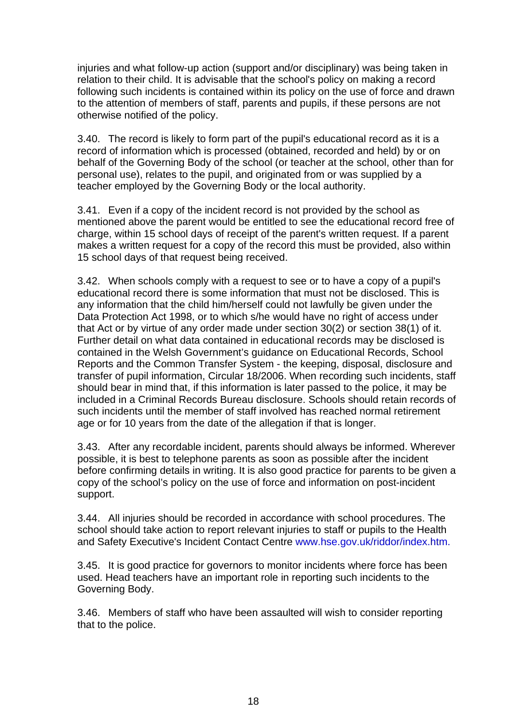injuries and what follow-up action (support and/or disciplinary) was being taken in relation to their child. It is advisable that the school's policy on making a record following such incidents is contained within its policy on the use of force and drawn to the attention of members of staff, parents and pupils, if these persons are not otherwise notified of the policy.

3.40. The record is likely to form part of the pupil's educational record as it is a record of information which is processed (obtained, recorded and held) by or on behalf of the Governing Body of the school (or teacher at the school, other than for personal use), relates to the pupil, and originated from or was supplied by a teacher employed by the Governing Body or the local authority.

3.41. Even if a copy of the incident record is not provided by the school as mentioned above the parent would be entitled to see the educational record free of charge, within 15 school days of receipt of the parent's written request. If a parent makes a written request for a copy of the record this must be provided, also within 15 school days of that request being received.

3.42. When schools comply with a request to see or to have a copy of a pupil's educational record there is some information that must not be disclosed. This is any information that the child him/herself could not lawfully be given under the Data Protection Act 1998, or to which s/he would have no right of access under that Act or by virtue of any order made under section 30(2) or section 38(1) of it. Further detail on what data contained in educational records may be disclosed is contained in the Welsh Government's guidance on Educational Records, School Reports and the Common Transfer System - the keeping, disposal, disclosure and transfer of pupil information, Circular 18/2006. When recording such incidents, staff should bear in mind that, if this information is later passed to the police, it may be included in a Criminal Records Bureau disclosure. Schools should retain records of such incidents until the member of staff involved has reached normal retirement age or for 10 years from the date of the allegation if that is longer.

3.43. After any recordable incident, parents should always be informed. Wherever possible, it is best to telephone parents as soon as possible after the incident before confirming details in writing. It is also good practice for parents to be given a copy of the school's policy on the use of force and information on post-incident support.

3.44. All injuries should be recorded in accordance with school procedures. The school should take action to report relevant injuries to staff or pupils to the Health and Safety Executive's Incident Contact Centre [www.hse.gov.uk/riddor/index.htm.](http://www.hse.gov.uk/riddor/index.htm)

3.45. It is good practice for governors to monitor incidents where force has been used. Head teachers have an important role in reporting such incidents to the Governing Body.

3.46. Members of staff who have been assaulted will wish to consider reporting that to the police.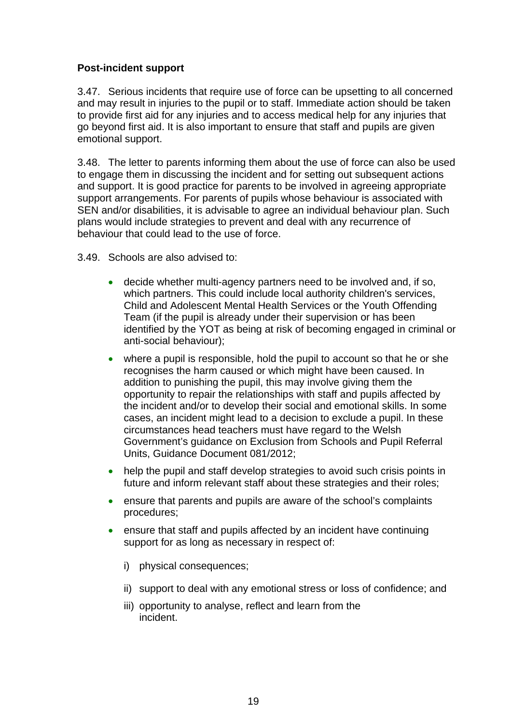### **Post-incident support**

3.47. Serious incidents that require use of force can be upsetting to all concerned and may result in injuries to the pupil or to staff. Immediate action should be taken to provide first aid for any injuries and to access medical help for any injuries that go beyond first aid. It is also important to ensure that staff and pupils are given emotional support.

3.48. The letter to parents informing them about the use of force can also be used to engage them in discussing the incident and for setting out subsequent actions and support. It is good practice for parents to be involved in agreeing appropriate support arrangements. For parents of pupils whose behaviour is associated with SEN and/or disabilities, it is advisable to agree an individual behaviour plan. Such plans would include strategies to prevent and deal with any recurrence of behaviour that could lead to the use of force.

3.49. Schools are also advised to:

- decide whether multi-agency partners need to be involved and, if so, which partners. This could include local authority children's services, Child and Adolescent Mental Health Services or the Youth Offending Team (if the pupil is already under their supervision or has been identified by the YOT as being at risk of becoming engaged in criminal or anti-social behaviour);
- where a pupil is responsible, hold the pupil to account so that he or she recognises the harm caused or which might have been caused. In addition to punishing the pupil, this may involve giving them the opportunity to repair the relationships with staff and pupils affected by the incident and/or to develop their social and emotional skills. In some cases, an incident might lead to a decision to exclude a pupil. In these circumstances head teachers must have regard to the Welsh Government's guidance on Exclusion from Schools and Pupil Referral Units, Guidance Document 081/2012;
- help the pupil and staff develop strategies to avoid such crisis points in future and inform relevant staff about these strategies and their roles;
- ensure that parents and pupils are aware of the school's complaints procedures;
- ensure that staff and pupils affected by an incident have continuing support for as long as necessary in respect of:
	- i) physical consequences:
	- ii) support to deal with any emotional stress or loss of confidence; and
	- iii) opportunity to analyse, reflect and learn from the incident.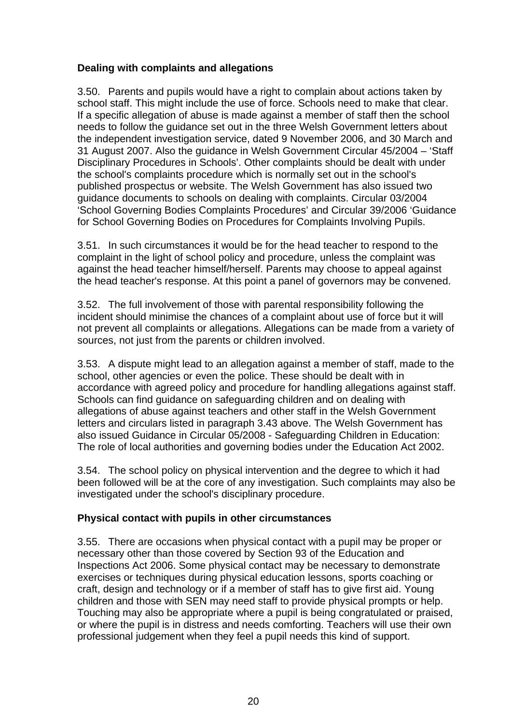### **Dealing with complaints and allegations**

3.50. Parents and pupils would have a right to complain about actions taken by school staff. This might include the use of force. Schools need to make that clear. If a specific allegation of abuse is made against a member of staff then the school needs to follow the guidance set out in the three Welsh Government letters about the independent investigation service, dated 9 November 2006, and 30 March and 31 August 2007. Also the guidance in Welsh Government Circular 45/2004 – 'Staff Disciplinary Procedures in Schools'. Other complaints should be dealt with under the school's complaints procedure which is normally set out in the school's published prospectus or website. The Welsh Government has also issued two guidance documents to schools on dealing with complaints. Circular 03/2004 'School Governing Bodies Complaints Procedures' and Circular 39/2006 'Guidance for School Governing Bodies on Procedures for Complaints Involving Pupils.

3.51. In such circumstances it would be for the head teacher to respond to the complaint in the light of school policy and procedure, unless the complaint was against the head teacher himself/herself. Parents may choose to appeal against the head teacher's response. At this point a panel of governors may be convened.

3.52. The full involvement of those with parental responsibility following the incident should minimise the chances of a complaint about use of force but it will not prevent all complaints or allegations. Allegations can be made from a variety of sources, not just from the parents or children involved.

3.53. A dispute might lead to an allegation against a member of staff, made to the school, other agencies or even the police. These should be dealt with in accordance with agreed policy and procedure for handling allegations against staff. Schools can find guidance on safeguarding children and on dealing with allegations of abuse against teachers and other staff in the Welsh Government letters and circulars listed in paragraph 3.43 above. The Welsh Government has also issued Guidance in Circular 05/2008 - Safeguarding Children in Education: The role of local authorities and governing bodies under the Education Act 2002.

3.54. The school policy on physical intervention and the degree to which it had been followed will be at the core of any investigation. Such complaints may also be investigated under the school's disciplinary procedure.

### **Physical contact with pupils in other circumstances**

3.55. There are occasions when physical contact with a pupil may be proper or necessary other than those covered by Section 93 of the Education and Inspections Act 2006. Some physical contact may be necessary to demonstrate exercises or techniques during physical education lessons, sports coaching or craft, design and technology or if a member of staff has to give first aid. Young children and those with SEN may need staff to provide physical prompts or help. Touching may also be appropriate where a pupil is being congratulated or praised, or where the pupil is in distress and needs comforting. Teachers will use their own professional judgement when they feel a pupil needs this kind of support.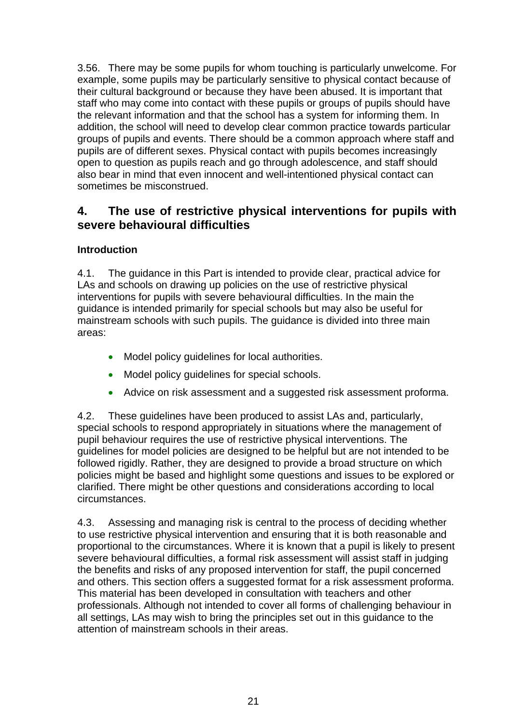3.56. There may be some pupils for whom touching is particularly unwelcome. For example, some pupils may be particularly sensitive to physical contact because of their cultural background or because they have been abused. It is important that staff who may come into contact with these pupils or groups of pupils should have the relevant information and that the school has a system for informing them. In addition, the school will need to develop clear common practice towards particular groups of pupils and events. There should be a common approach where staff and pupils are of different sexes. Physical contact with pupils becomes increasingly open to question as pupils reach and go through adolescence, and staff should also bear in mind that even innocent and well-intentioned physical contact can sometimes be misconstrued.

### **4. The use of restrictive physical interventions for pupils with severe behavioural difficulties**

### **Introduction**

4.1. The guidance in this Part is intended to provide clear, practical advice for LAs and schools on drawing up policies on the use of restrictive physical interventions for pupils with severe behavioural difficulties. In the main the guidance is intended primarily for special schools but may also be useful for mainstream schools with such pupils. The guidance is divided into three main areas:

- Model policy guidelines for local authorities.
- Model policy quidelines for special schools.
- Advice on risk assessment and a suggested risk assessment proforma.

4.2. These guidelines have been produced to assist LAs and, particularly, special schools to respond appropriately in situations where the management of pupil behaviour requires the use of restrictive physical interventions. The guidelines for model policies are designed to be helpful but are not intended to be followed rigidly. Rather, they are designed to provide a broad structure on which policies might be based and highlight some questions and issues to be explored or clarified. There might be other questions and considerations according to local circumstances.

4.3. Assessing and managing risk is central to the process of deciding whether to use restrictive physical intervention and ensuring that it is both reasonable and proportional to the circumstances. Where it is known that a pupil is likely to present severe behavioural difficulties, a formal risk assessment will assist staff in judging the benefits and risks of any proposed intervention for staff, the pupil concerned and others. This section offers a suggested format for a risk assessment proforma. This material has been developed in consultation with teachers and other professionals. Although not intended to cover all forms of challenging behaviour in all settings, LAs may wish to bring the principles set out in this guidance to the attention of mainstream schools in their areas.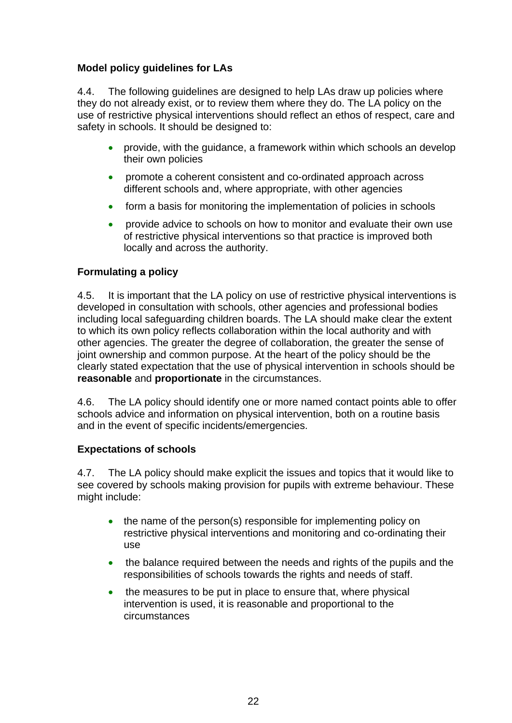### **Model policy guidelines for LAs**

4.4. The following guidelines are designed to help LAs draw up policies where they do not already exist, or to review them where they do. The LA policy on the use of restrictive physical interventions should reflect an ethos of respect, care and safety in schools. It should be designed to:

- provide, with the quidance, a framework within which schools an develop their own policies
- promote a coherent consistent and co-ordinated approach across different schools and, where appropriate, with other agencies
- form a basis for monitoring the implementation of policies in schools
- provide advice to schools on how to monitor and evaluate their own use of restrictive physical interventions so that practice is improved both locally and across the authority.

### **Formulating a policy**

4.5. It is important that the LA policy on use of restrictive physical interventions is developed in consultation with schools, other agencies and professional bodies including local safeguarding children boards. The LA should make clear the extent to which its own policy reflects collaboration within the local authority and with other agencies. The greater the degree of collaboration, the greater the sense of joint ownership and common purpose. At the heart of the policy should be the clearly stated expectation that the use of physical intervention in schools should be **reasonable** and **proportionate** in the circumstances.

4.6. The LA policy should identify one or more named contact points able to offer schools advice and information on physical intervention, both on a routine basis and in the event of specific incidents/emergencies.

### **Expectations of schools**

4.7. The LA policy should make explicit the issues and topics that it would like to see covered by schools making provision for pupils with extreme behaviour. These might include:

- the name of the person(s) responsible for implementing policy on restrictive physical interventions and monitoring and co-ordinating their use
- the balance required between the needs and rights of the pupils and the responsibilities of schools towards the rights and needs of staff.
- the measures to be put in place to ensure that, where physical intervention is used, it is reasonable and proportional to the circumstances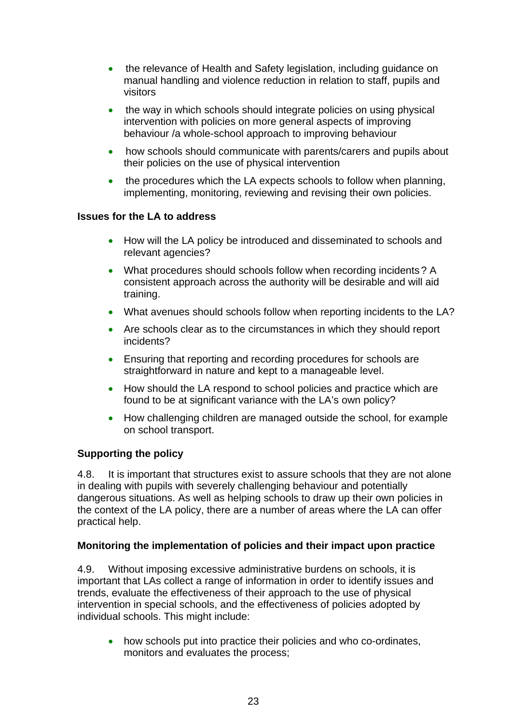- the relevance of Health and Safety legislation, including guidance on manual handling and violence reduction in relation to staff, pupils and visitors
- the way in which schools should integrate policies on using physical intervention with policies on more general aspects of improving behaviour /a whole-school approach to improving behaviour
- how schools should communicate with parents/carers and pupils about their policies on the use of physical intervention
- the procedures which the LA expects schools to follow when planning, implementing, monitoring, reviewing and revising their own policies.

### **Issues for the LA to address**

- How will the LA policy be introduced and disseminated to schools and relevant agencies?
- What procedures should schools follow when recording incidents? A consistent approach across the authority will be desirable and will aid training.
- What avenues should schools follow when reporting incidents to the LA?
- Are schools clear as to the circumstances in which they should report incidents?
- Ensuring that reporting and recording procedures for schools are straightforward in nature and kept to a manageable level.
- How should the LA respond to school policies and practice which are found to be at significant variance with the LA's own policy?
- How challenging children are managed outside the school, for example on school transport.

### **Supporting the policy**

4.8. It is important that structures exist to assure schools that they are not alone in dealing with pupils with severely challenging behaviour and potentially dangerous situations. As well as helping schools to draw up their own policies in the context of the LA policy, there are a number of areas where the LA can offer practical help.

### **Monitoring the implementation of policies and their impact upon practice**

4.9. Without imposing excessive administrative burdens on schools, it is important that LAs collect a range of information in order to identify issues and trends, evaluate the effectiveness of their approach to the use of physical intervention in special schools, and the effectiveness of policies adopted by individual schools. This might include:

• how schools put into practice their policies and who co-ordinates, monitors and evaluates the process;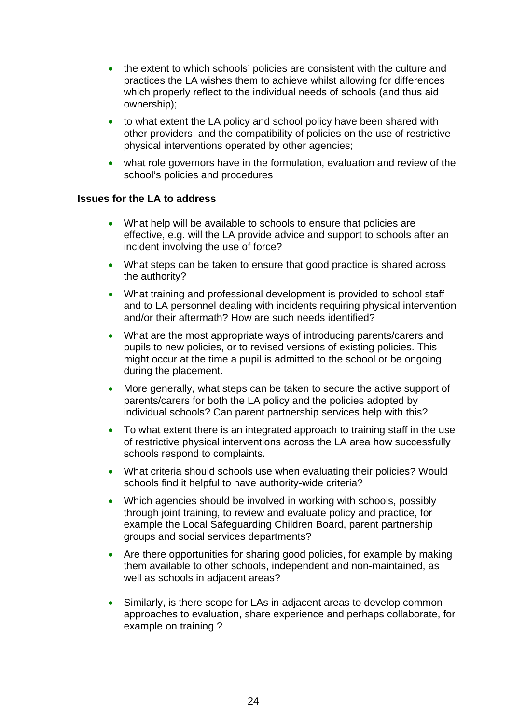- the extent to which schools' policies are consistent with the culture and practices the LA wishes them to achieve whilst allowing for differences which properly reflect to the individual needs of schools (and thus aid ownership);
- to what extent the LA policy and school policy have been shared with other providers, and the compatibility of policies on the use of restrictive physical interventions operated by other agencies;
- what role governors have in the formulation, evaluation and review of the school's policies and procedures

#### **Issues for the LA to address**

- What help will be available to schools to ensure that policies are effective, e.g. will the LA provide advice and support to schools after an incident involving the use of force?
- What steps can be taken to ensure that good practice is shared across the authority?
- What training and professional development is provided to school staff and to LA personnel dealing with incidents requiring physical intervention and/or their aftermath? How are such needs identified?
- What are the most appropriate ways of introducing parents/carers and pupils to new policies, or to revised versions of existing policies. This might occur at the time a pupil is admitted to the school or be ongoing during the placement.
- More generally, what steps can be taken to secure the active support of parents/carers for both the LA policy and the policies adopted by individual schools? Can parent partnership services help with this?
- To what extent there is an integrated approach to training staff in the use of restrictive physical interventions across the LA area how successfully schools respond to complaints.
- What criteria should schools use when evaluating their policies? Would schools find it helpful to have authority-wide criteria?
- Which agencies should be involved in working with schools, possibly through joint training, to review and evaluate policy and practice, for example the Local Safeguarding Children Board, parent partnership groups and social services departments?
- Are there opportunities for sharing good policies, for example by making them available to other schools, independent and non-maintained, as well as schools in adjacent areas?
- Similarly, is there scope for LAs in adjacent areas to develop common approaches to evaluation, share experience and perhaps collaborate, for example on training ?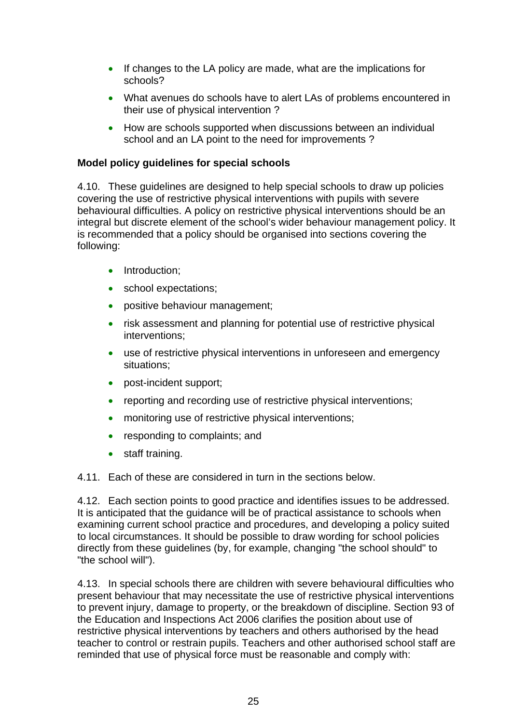- If changes to the LA policy are made, what are the implications for schools?
- What avenues do schools have to alert LAs of problems encountered in their use of physical intervention ?
- How are schools supported when discussions between an individual school and an LA point to the need for improvements ?

### **Model policy guidelines for special schools**

4.10. These guidelines are designed to help special schools to draw up policies covering the use of restrictive physical interventions with pupils with severe behavioural difficulties. A policy on restrictive physical interventions should be an integral but discrete element of the school's wider behaviour management policy. It is recommended that a policy should be organised into sections covering the following:

- Introduction:
- school expectations;
- positive behaviour management;
- risk assessment and planning for potential use of restrictive physical interventions;
- use of restrictive physical interventions in unforeseen and emergency situations;
- post-incident support;
- reporting and recording use of restrictive physical interventions;
- monitoring use of restrictive physical interventions;
- responding to complaints; and
- staff training.

4.11. Each of these are considered in turn in the sections below.

4.12. Each section points to good practice and identifies issues to be addressed. It is anticipated that the guidance will be of practical assistance to schools when examining current school practice and procedures, and developing a policy suited to local circumstances. It should be possible to draw wording for school policies directly from these guidelines (by, for example, changing "the school should" to "the school will").

4.13. In special schools there are children with severe behavioural difficulties who present behaviour that may necessitate the use of restrictive physical interventions to prevent injury, damage to property, or the breakdown of discipline. Section 93 of the Education and Inspections Act 2006 clarifies the position about use of restrictive physical interventions by teachers and others authorised by the head teacher to control or restrain pupils. Teachers and other authorised school staff are reminded that use of physical force must be reasonable and comply with: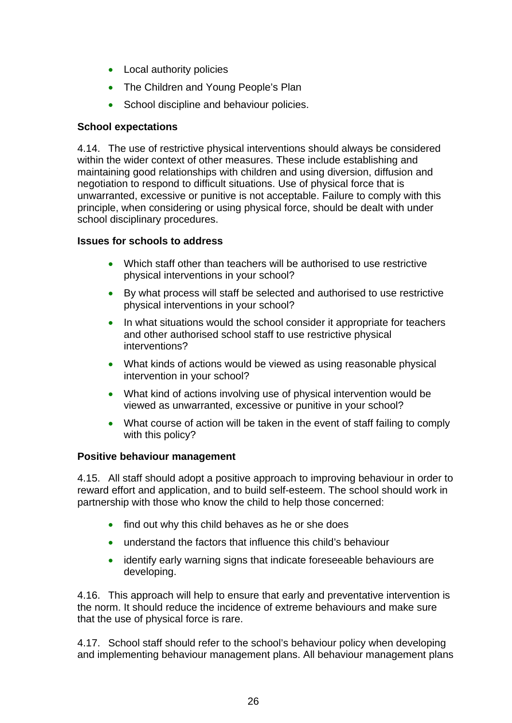- Local authority policies
- The Children and Young People's Plan
- School discipline and behaviour policies.

### **School expectations**

4.14. The use of restrictive physical interventions should always be considered within the wider context of other measures. These include establishing and maintaining good relationships with children and using diversion, diffusion and negotiation to respond to difficult situations. Use of physical force that is unwarranted, excessive or punitive is not acceptable. Failure to comply with this principle, when considering or using physical force, should be dealt with under school disciplinary procedures.

### **Issues for schools to address**

- Which staff other than teachers will be authorised to use restrictive physical interventions in your school?
- By what process will staff be selected and authorised to use restrictive physical interventions in your school?
- In what situations would the school consider it appropriate for teachers and other authorised school staff to use restrictive physical interventions?
- What kinds of actions would be viewed as using reasonable physical intervention in your school?
- What kind of actions involving use of physical intervention would be viewed as unwarranted, excessive or punitive in your school?
- What course of action will be taken in the event of staff failing to comply with this policy?

### **Positive behaviour management**

4.15. All staff should adopt a positive approach to improving behaviour in order to reward effort and application, and to build self-esteem. The school should work in partnership with those who know the child to help those concerned:

- find out why this child behaves as he or she does
- understand the factors that influence this child's behaviour
- identify early warning signs that indicate foreseeable behaviours are developing.

4.16. This approach will help to ensure that early and preventative intervention is the norm. It should reduce the incidence of extreme behaviours and make sure that the use of physical force is rare.

4.17. School staff should refer to the school's behaviour policy when developing and implementing behaviour management plans. All behaviour management plans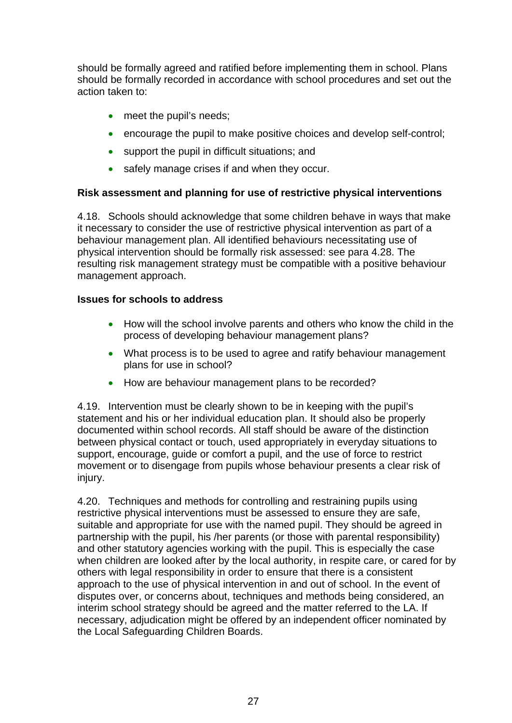should be formally agreed and ratified before implementing them in school. Plans should be formally recorded in accordance with school procedures and set out the action taken to:

- meet the pupil's needs;
- encourage the pupil to make positive choices and develop self-control;
- support the pupil in difficult situations; and
- safely manage crises if and when they occur.

### **Risk assessment and planning for use of restrictive physical interventions**

4.18. Schools should acknowledge that some children behave in ways that make it necessary to consider the use of restrictive physical intervention as part of a behaviour management plan. All identified behaviours necessitating use of physical intervention should be formally risk assessed: see para 4.28. The resulting risk management strategy must be compatible with a positive behaviour management approach.

### **Issues for schools to address**

- How will the school involve parents and others who know the child in the process of developing behaviour management plans?
- What process is to be used to agree and ratify behaviour management plans for use in school?
- How are behaviour management plans to be recorded?

4.19. Intervention must be clearly shown to be in keeping with the pupil's statement and his or her individual education plan. It should also be properly documented within school records. All staff should be aware of the distinction between physical contact or touch, used appropriately in everyday situations to support, encourage, guide or comfort a pupil, and the use of force to restrict movement or to disengage from pupils whose behaviour presents a clear risk of injury.

4.20. Techniques and methods for controlling and restraining pupils using restrictive physical interventions must be assessed to ensure they are safe, suitable and appropriate for use with the named pupil. They should be agreed in partnership with the pupil, his /her parents (or those with parental responsibility) and other statutory agencies working with the pupil. This is especially the case when children are looked after by the local authority, in respite care, or cared for by others with legal responsibility in order to ensure that there is a consistent approach to the use of physical intervention in and out of school. In the event of disputes over, or concerns about, techniques and methods being considered, an interim school strategy should be agreed and the matter referred to the LA. If necessary, adjudication might be offered by an independent officer nominated by the Local Safeguarding Children Boards.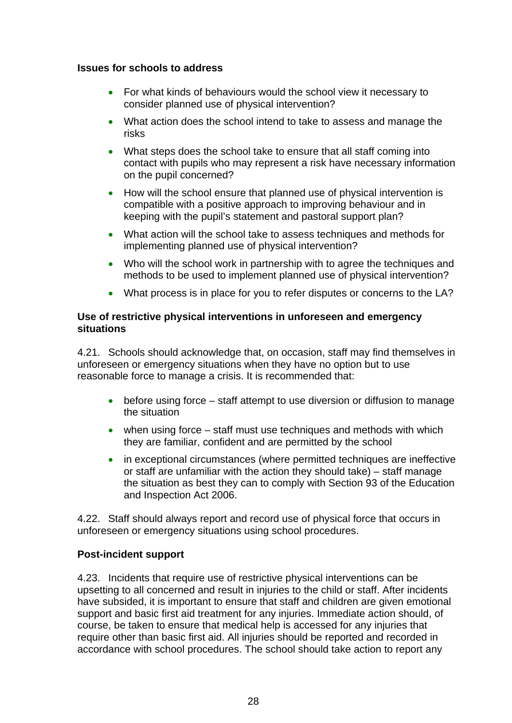### **Issues for schools to address**

- For what kinds of behaviours would the school view it necessary to consider planned use of physical intervention?
- What action does the school intend to take to assess and manage the risks
- What steps does the school take to ensure that all staff coming into contact with pupils who may represent a risk have necessary information on the pupil concerned?
- How will the school ensure that planned use of physical intervention is compatible with a positive approach to improving behaviour and in keeping with the pupil's statement and pastoral support plan?
- What action will the school take to assess techniques and methods for implementing planned use of physical intervention?
- Who will the school work in partnership with to agree the techniques and methods to be used to implement planned use of physical intervention?
- What process is in place for you to refer disputes or concerns to the LA?

### **Use of restrictive physical interventions in unforeseen and emergency situations**

4.21. Schools should acknowledge that, on occasion, staff may find themselves in unforeseen or emergency situations when they have no option but to use reasonable force to manage a crisis. It is recommended that:

- before using force staff attempt to use diversion or diffusion to manage the situation
- when using force staff must use techniques and methods with which they are familiar, confident and are permitted by the school
- in exceptional circumstances (where permitted techniques are ineffective or staff are unfamiliar with the action they should take) – staff manage the situation as best they can to comply with Section 93 of the Education and Inspection Act 2006.

4.22. Staff should always report and record use of physical force that occurs in unforeseen or emergency situations using school procedures.

### **Post-incident support**

4.23. Incidents that require use of restrictive physical interventions can be upsetting to all concerned and result in injuries to the child or staff. After incidents have subsided, it is important to ensure that staff and children are given emotional support and basic first aid treatment for any injuries. Immediate action should, of course, be taken to ensure that medical help is accessed for any injuries that require other than basic first aid. All injuries should be reported and recorded in accordance with school procedures. The school should take action to report any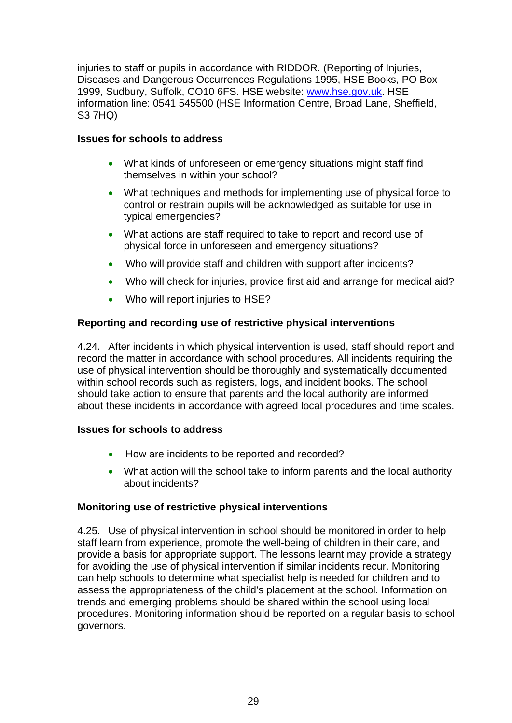injuries to staff or pupils in accordance with RIDDOR. (Reporting of Injuries, Diseases and Dangerous Occurrences Regulations 1995, HSE Books, PO Box 1999, Sudbury, Suffolk, CO10 6FS. HSE website: [www.hse.gov.uk](http://www.hse.gov.uk/). HSE information line: 0541 545500 (HSE Information Centre, Broad Lane, Sheffield, S3 7HQ)

### **Issues for schools to address**

- What kinds of unforeseen or emergency situations might staff find themselves in within your school?
- What techniques and methods for implementing use of physical force to control or restrain pupils will be acknowledged as suitable for use in typical emergencies?
- What actions are staff required to take to report and record use of physical force in unforeseen and emergency situations?
- Who will provide staff and children with support after incidents?
- Who will check for injuries, provide first aid and arrange for medical aid?
- Who will report injuries to HSE?

### **Reporting and recording use of restrictive physical interventions**

4.24. After incidents in which physical intervention is used, staff should report and record the matter in accordance with school procedures. All incidents requiring the use of physical intervention should be thoroughly and systematically documented within school records such as registers, logs, and incident books. The school should take action to ensure that parents and the local authority are informed about these incidents in accordance with agreed local procedures and time scales.

### **Issues for schools to address**

- How are incidents to be reported and recorded?
- What action will the school take to inform parents and the local authority about incidents?

### **Monitoring use of restrictive physical interventions**

4.25. Use of physical intervention in school should be monitored in order to help staff learn from experience, promote the well-being of children in their care, and provide a basis for appropriate support. The lessons learnt may provide a strategy for avoiding the use of physical intervention if similar incidents recur. Monitoring can help schools to determine what specialist help is needed for children and to assess the appropriateness of the child's placement at the school. Information on trends and emerging problems should be shared within the school using local procedures. Monitoring information should be reported on a regular basis to school governors.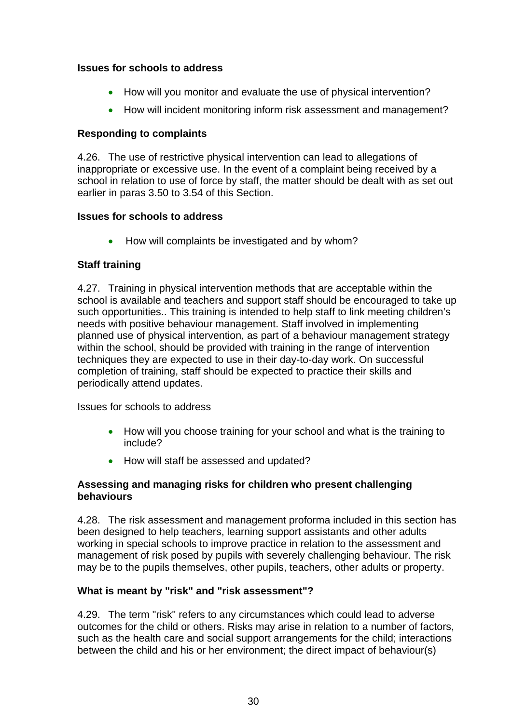### **Issues for schools to address**

- How will you monitor and evaluate the use of physical intervention?
- How will incident monitoring inform risk assessment and management?

### **Responding to complaints**

4.26. The use of restrictive physical intervention can lead to allegations of inappropriate or excessive use. In the event of a complaint being received by a school in relation to use of force by staff, the matter should be dealt with as set out earlier in paras 3.50 to 3.54 of this Section.

### **Issues for schools to address**

• How will complaints be investigated and by whom?

### **Staff training**

4.27. Training in physical intervention methods that are acceptable within the school is available and teachers and support staff should be encouraged to take up such opportunities.. This training is intended to help staff to link meeting children's needs with positive behaviour management. Staff involved in implementing planned use of physical intervention, as part of a behaviour management strategy within the school, should be provided with training in the range of intervention techniques they are expected to use in their day-to-day work. On successful completion of training, staff should be expected to practice their skills and periodically attend updates.

Issues for schools to address

- How will you choose training for your school and what is the training to include?
- How will staff be assessed and updated?

### **Assessing and managing risks for children who present challenging behaviours**

4.28. The risk assessment and management proforma included in this section has been designed to help teachers, learning support assistants and other adults working in special schools to improve practice in relation to the assessment and management of risk posed by pupils with severely challenging behaviour. The risk may be to the pupils themselves, other pupils, teachers, other adults or property.

### **What is meant by "risk" and "risk assessment"?**

4.29. The term "risk" refers to any circumstances which could lead to adverse outcomes for the child or others. Risks may arise in relation to a number of factors, such as the health care and social support arrangements for the child; interactions between the child and his or her environment; the direct impact of behaviour(s)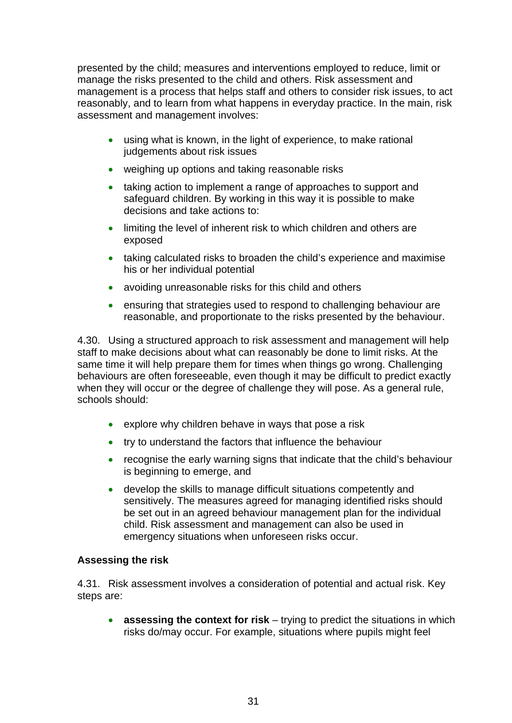presented by the child; measures and interventions employed to reduce, limit or manage the risks presented to the child and others. Risk assessment and management is a process that helps staff and others to consider risk issues, to act reasonably, and to learn from what happens in everyday practice. In the main, risk assessment and management involves:

- using what is known, in the light of experience, to make rational judgements about risk issues
- weighing up options and taking reasonable risks
- taking action to implement a range of approaches to support and safeguard children. By working in this way it is possible to make decisions and take actions to:
- limiting the level of inherent risk to which children and others are exposed
- taking calculated risks to broaden the child's experience and maximise his or her individual potential
- avoiding unreasonable risks for this child and others
- ensuring that strategies used to respond to challenging behaviour are reasonable, and proportionate to the risks presented by the behaviour.

4.30. Using a structured approach to risk assessment and management will help staff to make decisions about what can reasonably be done to limit risks. At the same time it will help prepare them for times when things go wrong. Challenging behaviours are often foreseeable, even though it may be difficult to predict exactly when they will occur or the degree of challenge they will pose. As a general rule, schools should:

- explore why children behave in ways that pose a risk
- try to understand the factors that influence the behaviour
- recognise the early warning signs that indicate that the child's behaviour is beginning to emerge, and
- develop the skills to manage difficult situations competently and sensitively. The measures agreed for managing identified risks should be set out in an agreed behaviour management plan for the individual child. Risk assessment and management can also be used in emergency situations when unforeseen risks occur.

### **Assessing the risk**

4.31. Risk assessment involves a consideration of potential and actual risk. Key steps are:

• **assessing the context for risk** – trying to predict the situations in which risks do/may occur. For example, situations where pupils might feel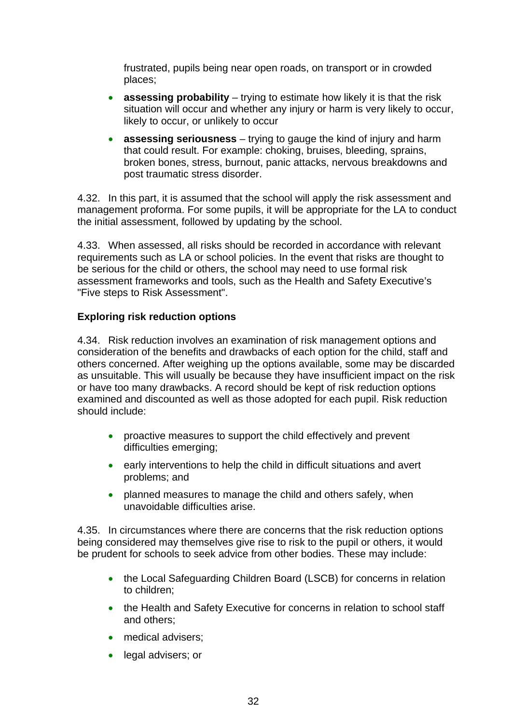frustrated, pupils being near open roads, on transport or in crowded places;

- **assessing probability** trying to estimate how likely it is that the risk situation will occur and whether any injury or harm is very likely to occur, likely to occur, or unlikely to occur
- **assessing seriousness**  trying to gauge the kind of injury and harm that could result. For example: choking, bruises, bleeding, sprains, broken bones, stress, burnout, panic attacks, nervous breakdowns and post traumatic stress disorder.

4.32. In this part, it is assumed that the school will apply the risk assessment and management proforma. For some pupils, it will be appropriate for the LA to conduct the initial assessment, followed by updating by the school.

4.33. When assessed, all risks should be recorded in accordance with relevant requirements such as LA or school policies. In the event that risks are thought to be serious for the child or others, the school may need to use formal risk assessment frameworks and tools, such as the Health and Safety Executive's "Five steps to Risk Assessment".

### **Exploring risk reduction options**

4.34. Risk reduction involves an examination of risk management options and consideration of the benefits and drawbacks of each option for the child, staff and others concerned. After weighing up the options available, some may be discarded as unsuitable. This will usually be because they have insufficient impact on the risk or have too many drawbacks. A record should be kept of risk reduction options examined and discounted as well as those adopted for each pupil. Risk reduction should include:

- proactive measures to support the child effectively and prevent difficulties emerging;
- early interventions to help the child in difficult situations and avert problems; and
- planned measures to manage the child and others safely, when unavoidable difficulties arise.

4.35. In circumstances where there are concerns that the risk reduction options being considered may themselves give rise to risk to the pupil or others, it would be prudent for schools to seek advice from other bodies. These may include:

- the Local Safeguarding Children Board (LSCB) for concerns in relation to children;
- the Health and Safety Executive for concerns in relation to school staff and others;
- medical advisers;
- legal advisers; or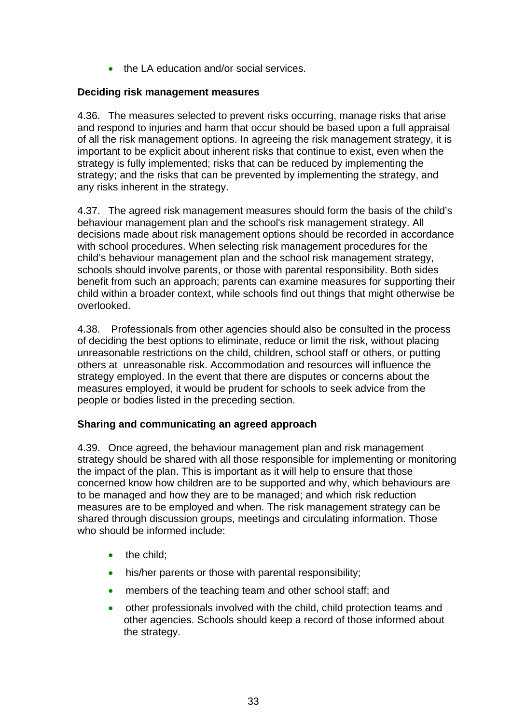• the LA education and/or social services.

### **Deciding risk management measures**

4.36. The measures selected to prevent risks occurring, manage risks that arise and respond to injuries and harm that occur should be based upon a full appraisal of all the risk management options. In agreeing the risk management strategy, it is important to be explicit about inherent risks that continue to exist, even when the strategy is fully implemented; risks that can be reduced by implementing the strategy; and the risks that can be prevented by implementing the strategy, and any risks inherent in the strategy.

4.37. The agreed risk management measures should form the basis of the child's behaviour management plan and the school's risk management strategy. All decisions made about risk management options should be recorded in accordance with school procedures. When selecting risk management procedures for the child's behaviour management plan and the school risk management strategy, schools should involve parents, or those with parental responsibility. Both sides benefit from such an approach; parents can examine measures for supporting their child within a broader context, while schools find out things that might otherwise be overlooked.

4.38. Professionals from other agencies should also be consulted in the process of deciding the best options to eliminate, reduce or limit the risk, without placing unreasonable restrictions on the child, children, school staff or others, or putting others at unreasonable risk. Accommodation and resources will influence the strategy employed. In the event that there are disputes or concerns about the measures employed, it would be prudent for schools to seek advice from the people or bodies listed in the preceding section.

### **Sharing and communicating an agreed approach**

4.39. Once agreed, the behaviour management plan and risk management strategy should be shared with all those responsible for implementing or monitoring the impact of the plan. This is important as it will help to ensure that those concerned know how children are to be supported and why, which behaviours are to be managed and how they are to be managed; and which risk reduction measures are to be employed and when. The risk management strategy can be shared through discussion groups, meetings and circulating information. Those who should be informed include:

- the child:
- his/her parents or those with parental responsibility;
- members of the teaching team and other school staff; and
- other professionals involved with the child, child protection teams and other agencies. Schools should keep a record of those informed about the strategy.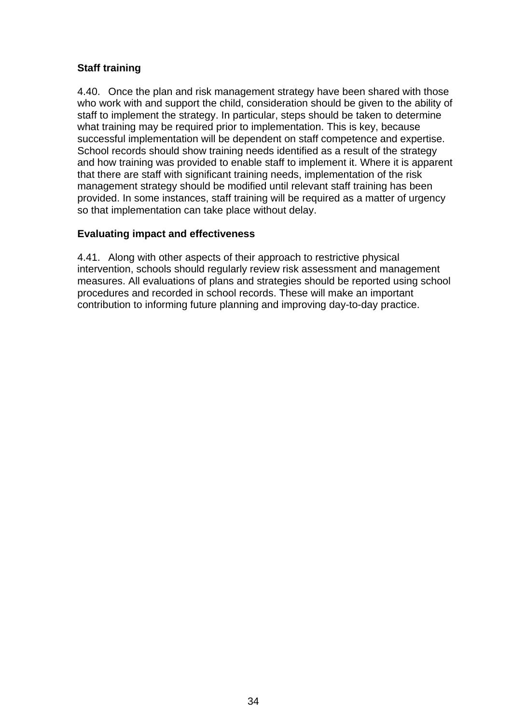### **Staff training**

4.40. Once the plan and risk management strategy have been shared with those who work with and support the child, consideration should be given to the ability of staff to implement the strategy. In particular, steps should be taken to determine what training may be required prior to implementation. This is key, because successful implementation will be dependent on staff competence and expertise. School records should show training needs identified as a result of the strategy and how training was provided to enable staff to implement it. Where it is apparent that there are staff with significant training needs, implementation of the risk management strategy should be modified until relevant staff training has been provided. In some instances, staff training will be required as a matter of urgency so that implementation can take place without delay.

### **Evaluating impact and effectiveness**

4.41. Along with other aspects of their approach to restrictive physical intervention, schools should regularly review risk assessment and management measures. All evaluations of plans and strategies should be reported using school procedures and recorded in school records. These will make an important contribution to informing future planning and improving day-to-day practice.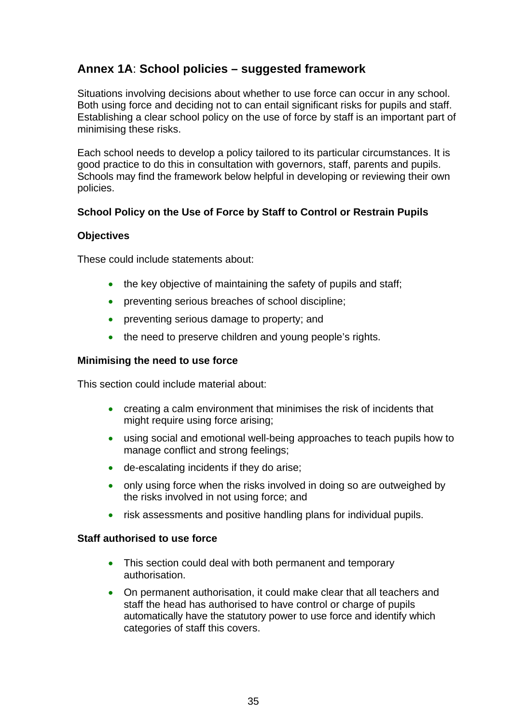### **Annex 1A**: **School policies – suggested framework**

Situations involving decisions about whether to use force can occur in any school. Both using force and deciding not to can entail significant risks for pupils and staff. Establishing a clear school policy on the use of force by staff is an important part of minimising these risks.

Each school needs to develop a policy tailored to its particular circumstances. It is good practice to do this in consultation with governors, staff, parents and pupils. Schools may find the framework below helpful in developing or reviewing their own policies.

### **School Policy on the Use of Force by Staff to Control or Restrain Pupils**

### **Objectives**

These could include statements about:

- the key objective of maintaining the safety of pupils and staff:
- preventing serious breaches of school discipline;
- preventing serious damage to property; and
- the need to preserve children and young people's rights.

### **Minimising the need to use force**

This section could include material about:

- creating a calm environment that minimises the risk of incidents that might require using force arising;
- using social and emotional well-being approaches to teach pupils how to manage conflict and strong feelings;
- de-escalating incidents if they do arise;
- only using force when the risks involved in doing so are outweighed by the risks involved in not using force; and
- risk assessments and positive handling plans for individual pupils.

### **Staff authorised to use force**

- This section could deal with both permanent and temporary authorisation.
- On permanent authorisation, it could make clear that all teachers and staff the head has authorised to have control or charge of pupils automatically have the statutory power to use force and identify which categories of staff this covers.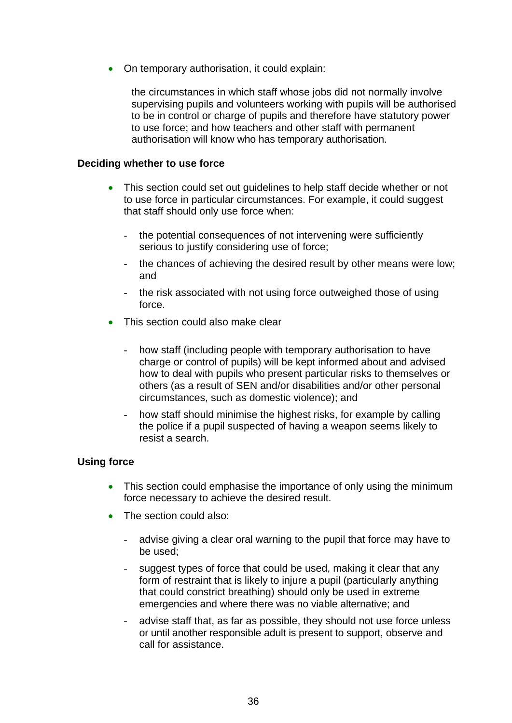• On temporary authorisation, it could explain:

the circumstances in which staff whose jobs did not normally involve supervising pupils and volunteers working with pupils will be authorised to be in control or charge of pupils and therefore have statutory power to use force; and how teachers and other staff with permanent authorisation will know who has temporary authorisation.

#### **Deciding whether to use force**

- This section could set out quidelines to help staff decide whether or not to use force in particular circumstances. For example, it could suggest that staff should only use force when:
	- the potential consequences of not intervening were sufficiently serious to justify considering use of force;
	- the chances of achieving the desired result by other means were low; and
	- the risk associated with not using force outweighed those of using force.
- This section could also make clear
	- how staff (including people with temporary authorisation to have charge or control of pupils) will be kept informed about and advised how to deal with pupils who present particular risks to themselves or others (as a result of SEN and/or disabilities and/or other personal circumstances, such as domestic violence); and
	- how staff should minimise the highest risks, for example by calling the police if a pupil suspected of having a weapon seems likely to resist a search.

### **Using force**

- This section could emphasise the importance of only using the minimum force necessary to achieve the desired result.
- The section could also:
	- advise giving a clear oral warning to the pupil that force may have to be used;
	- suggest types of force that could be used, making it clear that any form of restraint that is likely to injure a pupil (particularly anything that could constrict breathing) should only be used in extreme emergencies and where there was no viable alternative; and
	- advise staff that, as far as possible, they should not use force unless or until another responsible adult is present to support, observe and call for assistance.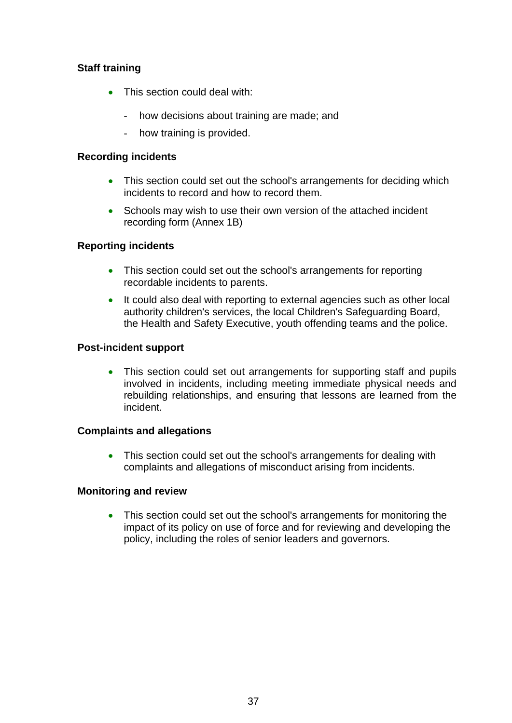### **Staff training**

- This section could deal with:
	- how decisions about training are made; and
	- how training is provided.

#### **Recording incidents**

- This section could set out the school's arrangements for deciding which incidents to record and how to record them.
- Schools may wish to use their own version of the attached incident recording form (Annex 1B)

### **Reporting incidents**

- This section could set out the school's arrangements for reporting recordable incidents to parents.
- It could also deal with reporting to external agencies such as other local authority children's services, the local Children's Safeguarding Board, the Health and Safety Executive, youth offending teams and the police.

### **Post-incident support**

• This section could set out arrangements for supporting staff and pupils involved in incidents, including meeting immediate physical needs and rebuilding relationships, and ensuring that lessons are learned from the incident.

### **Complaints and allegations**

• This section could set out the school's arrangements for dealing with complaints and allegations of misconduct arising from incidents.

### **Monitoring and review**

• This section could set out the school's arrangements for monitoring the impact of its policy on use of force and for reviewing and developing the policy, including the roles of senior leaders and governors.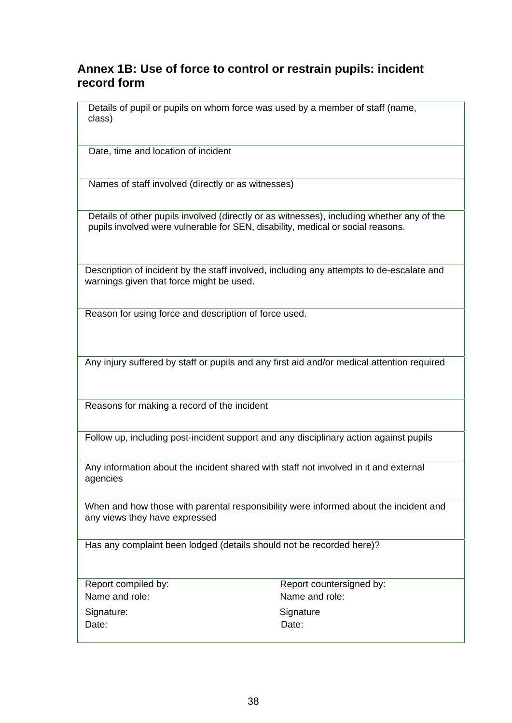### **Annex 1B: Use of force to control or restrain pupils: incident record form**

Details of pupil or pupils on whom force was used by a member of staff (name, class)

Date, time and location of incident

Names of staff involved (directly or as witnesses)

Details of other pupils involved (directly or as witnesses), including whether any of the pupils involved were vulnerable for SEN, disability, medical or social reasons.

Description of incident by the staff involved, including any attempts to de-escalate and warnings given that force might be used.

Reason for using force and description of force used.

Any injury suffered by staff or pupils and any first aid and/or medical attention required

Reasons for making a record of the incident

Follow up, including post-incident support and any disciplinary action against pupils

Any information about the incident shared with staff not involved in it and external agencies

When and how those with parental responsibility were informed about the incident and any views they have expressed

Has any complaint been lodged (details should not be recorded here)?

Name and role: Name and role: Signature: Signature: Signature Signature Date: **Date:** Date: **Date: Date: Date:** 

Report compiled by: Report countersigned by: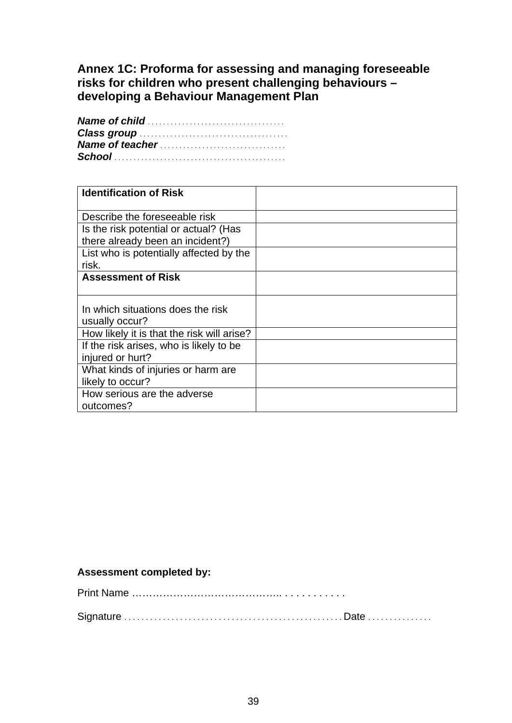### **Annex 1C: Proforma for assessing and managing foreseeable risks for children who present challenging behaviours – developing a Behaviour Management Plan**

| <b>Identification of Risk</b>              |  |
|--------------------------------------------|--|
|                                            |  |
| Describe the foreseeable risk              |  |
| Is the risk potential or actual? (Has      |  |
| there already been an incident?)           |  |
| List who is potentially affected by the    |  |
| risk.                                      |  |
| <b>Assessment of Risk</b>                  |  |
|                                            |  |
| In which situations does the risk          |  |
|                                            |  |
| usually occur?                             |  |
| How likely it is that the risk will arise? |  |
| If the risk arises, who is likely to be    |  |
| injured or hurt?                           |  |
| What kinds of injuries or harm are         |  |
| likely to occur?                           |  |
| How serious are the adverse                |  |
| outcomes?                                  |  |

### **Assessment completed by:**

Print Name …………………………………….. . . . . . . . . . . .

Signature . . . . . . . . . . . . . . . . . . . . . . . . . . . . . . . . . . . . . . . . . . . . . . . . . . . Date . . . . . . . . . . . . . . .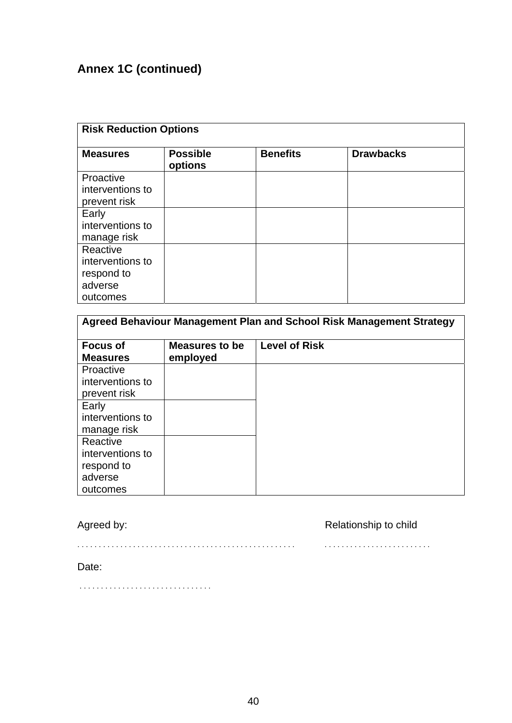# **Annex 1C (continued)**

| <b>Risk Reduction Options</b>                                     |                            |                 |                  |  |
|-------------------------------------------------------------------|----------------------------|-----------------|------------------|--|
| <b>Measures</b>                                                   | <b>Possible</b><br>options | <b>Benefits</b> | <b>Drawbacks</b> |  |
| Proactive<br>interventions to<br>prevent risk                     |                            |                 |                  |  |
| Early<br>interventions to<br>manage risk                          |                            |                 |                  |  |
| Reactive<br>interventions to<br>respond to<br>adverse<br>outcomes |                            |                 |                  |  |

| Agreed Behaviour Management Plan and School Risk Management Strategy |                                   |                      |  |  |
|----------------------------------------------------------------------|-----------------------------------|----------------------|--|--|
| <b>Focus of</b><br><b>Measures</b>                                   | <b>Measures to be</b><br>employed | <b>Level of Risk</b> |  |  |
| Proactive                                                            |                                   |                      |  |  |
| interventions to                                                     |                                   |                      |  |  |
| prevent risk                                                         |                                   |                      |  |  |
| Early                                                                |                                   |                      |  |  |
| interventions to                                                     |                                   |                      |  |  |
| manage risk                                                          |                                   |                      |  |  |
| Reactive                                                             |                                   |                      |  |  |
| interventions to                                                     |                                   |                      |  |  |
| respond to                                                           |                                   |                      |  |  |
| adverse                                                              |                                   |                      |  |  |
| outcomes                                                             |                                   |                      |  |  |

Agreed by: **Agreed by: Relationship to child** 

. . . . . . . . . . . . . . . . . . . . . . . . . . . . . . . . . . . . . . . . . . . . . . . . . . . . . . . . . . . . . . . . . . . . . . . . . . . .

Date:

. . . . . . . . . . . . . . . . . . . . . . . . . . . . . . .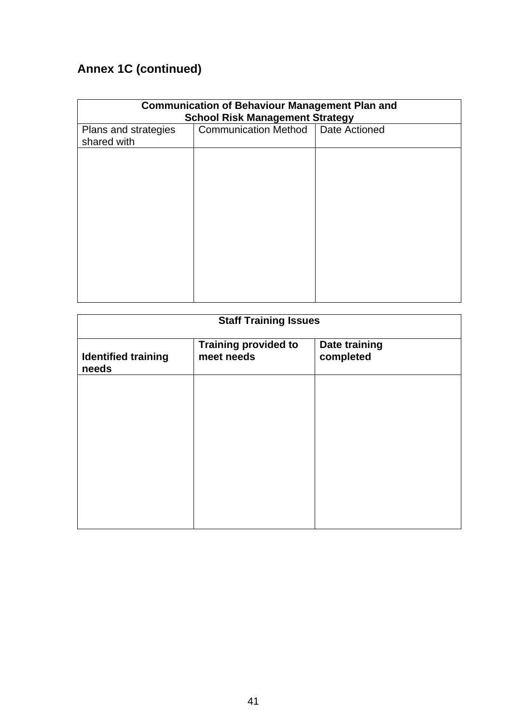# **Annex 1C (continued)**

| <b>Communication of Behaviour Management Plan and</b><br><b>School Risk Management Strategy</b> |                                      |  |  |
|-------------------------------------------------------------------------------------------------|--------------------------------------|--|--|
| Plans and strategies<br>shared with                                                             | Communication Method   Date Actioned |  |  |
|                                                                                                 |                                      |  |  |
|                                                                                                 |                                      |  |  |
|                                                                                                 |                                      |  |  |
|                                                                                                 |                                      |  |  |
|                                                                                                 |                                      |  |  |
|                                                                                                 |                                      |  |  |
|                                                                                                 |                                      |  |  |

| <b>Staff Training Issues</b>        |                                           |                                   |  |
|-------------------------------------|-------------------------------------------|-----------------------------------|--|
| <b>Identified training</b><br>needs | <b>Training provided to</b><br>meet needs | <b>Date training</b><br>completed |  |
|                                     |                                           |                                   |  |
|                                     |                                           |                                   |  |
|                                     |                                           |                                   |  |
|                                     |                                           |                                   |  |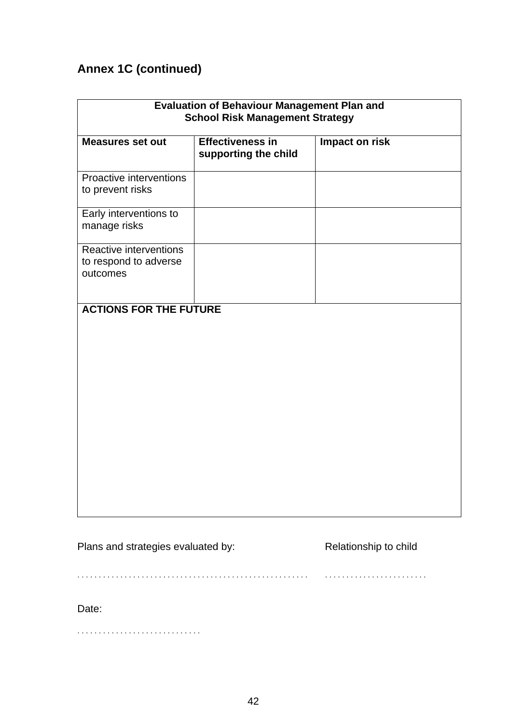# **Annex 1C (continued)**

| <b>Evaluation of Behaviour Management Plan and</b><br><b>School Risk Management Strategy</b> |                                                 |                |  |
|----------------------------------------------------------------------------------------------|-------------------------------------------------|----------------|--|
| <b>Measures set out</b>                                                                      | <b>Effectiveness in</b><br>supporting the child | Impact on risk |  |
| Proactive interventions<br>to prevent risks                                                  |                                                 |                |  |
| Early interventions to<br>manage risks                                                       |                                                 |                |  |
| Reactive interventions<br>to respond to adverse<br>outcomes                                  |                                                 |                |  |
| <b>ACTIONS FOR THE FUTURE</b>                                                                |                                                 |                |  |

Plans and strategies evaluated by: Relationship to child

. . . . . . . . . . . . . . . . . . . . . . . . . . . . . . . . . . . . . . . . . . . . . . . . . . . . . . . . . . . . . . . . . . . . . . . . . . . . . .

Date:

. . . . . . . . . . . . . . . . . . . . . . . . . . . . .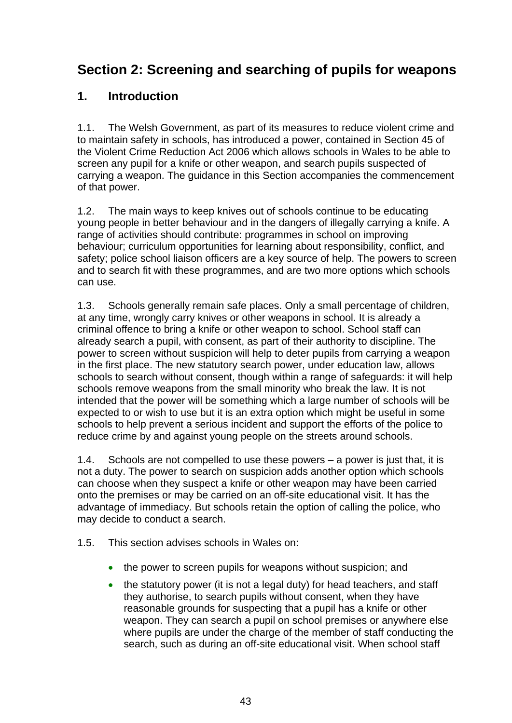# **Section 2: Screening and searching of pupils for weapons**

### **1. Introduction**

1.1. The Welsh Government, as part of its measures to reduce violent crime and to maintain safety in schools, has introduced a power, contained in Section 45 of the Violent Crime Reduction Act 2006 which allows schools in Wales to be able to screen any pupil for a knife or other weapon, and search pupils suspected of carrying a weapon. The guidance in this Section accompanies the commencement of that power.

1.2. The main ways to keep knives out of schools continue to be educating young people in better behaviour and in the dangers of illegally carrying a knife. A range of activities should contribute: programmes in school on improving behaviour; curriculum opportunities for learning about responsibility, conflict, and safety; police school liaison officers are a key source of help. The powers to screen and to search fit with these programmes, and are two more options which schools can use.

1.3. Schools generally remain safe places. Only a small percentage of children, at any time, wrongly carry knives or other weapons in school. It is already a criminal offence to bring a knife or other weapon to school. School staff can already search a pupil, with consent, as part of their authority to discipline. The power to screen without suspicion will help to deter pupils from carrying a weapon in the first place. The new statutory search power, under education law, allows schools to search without consent, though within a range of safeguards: it will help schools remove weapons from the small minority who break the law. It is not intended that the power will be something which a large number of schools will be expected to or wish to use but it is an extra option which might be useful in some schools to help prevent a serious incident and support the efforts of the police to reduce crime by and against young people on the streets around schools.

1.4. Schools are not compelled to use these powers – a power is just that, it is not a duty. The power to search on suspicion adds another option which schools can choose when they suspect a knife or other weapon may have been carried onto the premises or may be carried on an off-site educational visit. It has the advantage of immediacy. But schools retain the option of calling the police, who may decide to conduct a search.

- 1.5. This section advises schools in Wales on:
	- the power to screen pupils for weapons without suspicion; and
	- the statutory power (it is not a legal duty) for head teachers, and staff they authorise, to search pupils without consent, when they have reasonable grounds for suspecting that a pupil has a knife or other weapon. They can search a pupil on school premises or anywhere else where pupils are under the charge of the member of staff conducting the search, such as during an off-site educational visit. When school staff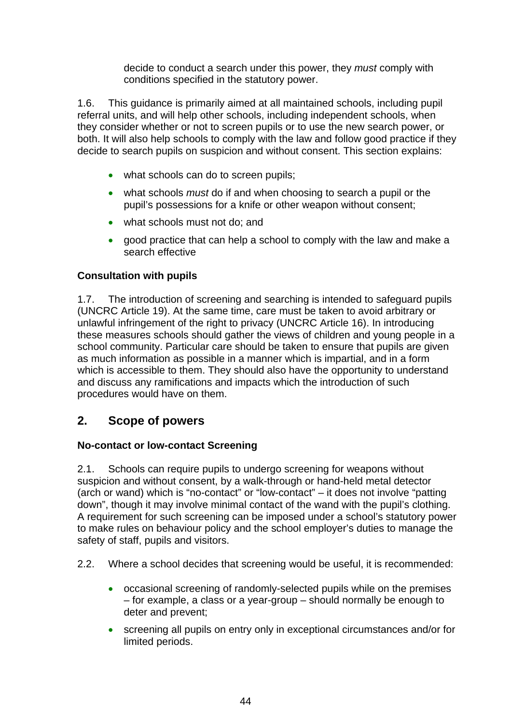decide to conduct a search under this power, they *must* comply with conditions specified in the statutory power.

1.6. This guidance is primarily aimed at all maintained schools, including pupil referral units, and will help other schools, including independent schools, when they consider whether or not to screen pupils or to use the new search power, or both. It will also help schools to comply with the law and follow good practice if they decide to search pupils on suspicion and without consent. This section explains:

- what schools can do to screen pupils;
- what schools *must* do if and when choosing to search a pupil or the pupil's possessions for a knife or other weapon without consent;
- what schools must not do: and
- good practice that can help a school to comply with the law and make a search effective

### **Consultation with pupils**

1.7. The introduction of screening and searching is intended to safeguard pupils (UNCRC Article 19). At the same time, care must be taken to avoid arbitrary or unlawful infringement of the right to privacy (UNCRC Article 16). In introducing these measures schools should gather the views of children and young people in a school community. Particular care should be taken to ensure that pupils are given as much information as possible in a manner which is impartial, and in a form which is accessible to them. They should also have the opportunity to understand and discuss any ramifications and impacts which the introduction of such procedures would have on them.

### **2. Scope of powers**

### **No-contact or low-contact Screening**

2.1. Schools can require pupils to undergo screening for weapons without suspicion and without consent, by a walk-through or hand-held metal detector (arch or wand) which is "no-contact" or "low-contact" – it does not involve "patting down", though it may involve minimal contact of the wand with the pupil's clothing. A requirement for such screening can be imposed under a school's statutory power to make rules on behaviour policy and the school employer's duties to manage the safety of staff, pupils and visitors.

- 2.2. Where a school decides that screening would be useful, it is recommended:
	- occasional screening of randomly-selected pupils while on the premises – for example, a class or a year-group – should normally be enough to deter and prevent;
	- screening all pupils on entry only in exceptional circumstances and/or for limited periods.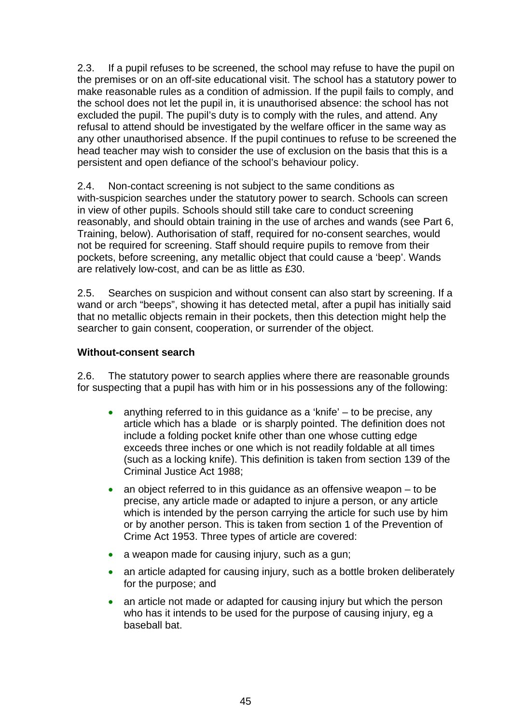2.3. If a pupil refuses to be screened, the school may refuse to have the pupil on the premises or on an off-site educational visit. The school has a statutory power to make reasonable rules as a condition of admission. If the pupil fails to comply, and the school does not let the pupil in, it is unauthorised absence: the school has not excluded the pupil. The pupil's duty is to comply with the rules, and attend. Any refusal to attend should be investigated by the welfare officer in the same way as any other unauthorised absence. If the pupil continues to refuse to be screened the head teacher may wish to consider the use of exclusion on the basis that this is a persistent and open defiance of the school's behaviour policy.

2.4. Non-contact screening is not subject to the same conditions as with-suspicion searches under the statutory power to search. Schools can screen in view of other pupils. Schools should still take care to conduct screening reasonably, and should obtain training in the use of arches and wands (see Part 6, Training, below). Authorisation of staff, required for no-consent searches, would not be required for screening. Staff should require pupils to remove from their pockets, before screening, any metallic object that could cause a 'beep'. Wands are relatively low-cost, and can be as little as £30.

2.5. Searches on suspicion and without consent can also start by screening. If a wand or arch "beeps", showing it has detected metal, after a pupil has initially said that no metallic objects remain in their pockets, then this detection might help the searcher to gain consent, cooperation, or surrender of the object.

### **Without-consent search**

2.6. The statutory power to search applies where there are reasonable grounds for suspecting that a pupil has with him or in his possessions any of the following:

- anything referred to in this guidance as a 'knife'  $-$  to be precise, any article which has a blade or is sharply pointed. The definition does not include a folding pocket knife other than one whose cutting edge exceeds three inches or one which is not readily foldable at all times (such as a locking knife). This definition is taken from section 139 of the Criminal Justice Act 1988;
- an object referred to in this guidance as an offensive weapon  $-$  to be precise, any article made or adapted to injure a person, or any article which is intended by the person carrying the article for such use by him or by another person. This is taken from section 1 of the Prevention of Crime Act 1953. Three types of article are covered:
- a weapon made for causing injury, such as a gun;
- an article adapted for causing injury, such as a bottle broken deliberately for the purpose; and
- an article not made or adapted for causing injury but which the person who has it intends to be used for the purpose of causing injury, eg a baseball bat.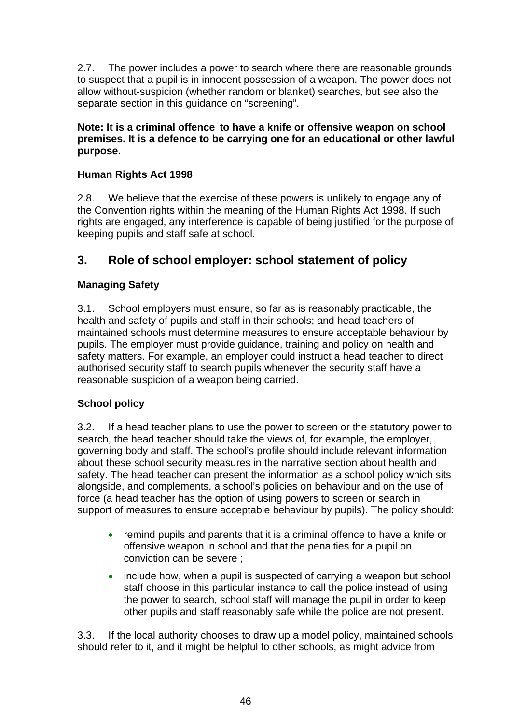2.7. The power includes a power to search where there are reasonable grounds to suspect that a pupil is in innocent possession of a weapon. The power does not allow without-suspicion (whether random or blanket) searches, but see also the separate section in this guidance on "screening".

**Note: It is a criminal offence to have a knife or offensive weapon on school premises. It is a defence to be carrying one for an educational or other lawful purpose.** 

### **Human Rights Act 1998**

2.8. We believe that the exercise of these powers is unlikely to engage any of the Convention rights within the meaning of the Human Rights Act 1998. If such rights are engaged, any interference is capable of being justified for the purpose of keeping pupils and staff safe at school.

### **3. Role of school employer: school statement of policy**

### **Managing Safety**

3.1. School employers must ensure, so far as is reasonably practicable, the health and safety of pupils and staff in their schools; and head teachers of maintained schools must determine measures to ensure acceptable behaviour by pupils. The employer must provide guidance, training and policy on health and safety matters. For example, an employer could instruct a head teacher to direct authorised security staff to search pupils whenever the security staff have a reasonable suspicion of a weapon being carried.

### **School policy**

3.2. If a head teacher plans to use the power to screen or the statutory power to search, the head teacher should take the views of, for example, the employer, governing body and staff. The school's profile should include relevant information about these school security measures in the narrative section about health and safety. The head teacher can present the information as a school policy which sits alongside, and complements, a school's policies on behaviour and on the use of force (a head teacher has the option of using powers to screen or search in support of measures to ensure acceptable behaviour by pupils). The policy should:

- remind pupils and parents that it is a criminal offence to have a knife or offensive weapon in school and that the penalties for a pupil on conviction can be severe ;
- include how, when a pupil is suspected of carrying a weapon but school staff choose in this particular instance to call the police instead of using the power to search, school staff will manage the pupil in order to keep other pupils and staff reasonably safe while the police are not present.

3.3. If the local authority chooses to draw up a model policy, maintained schools should refer to it, and it might be helpful to other schools, as might advice from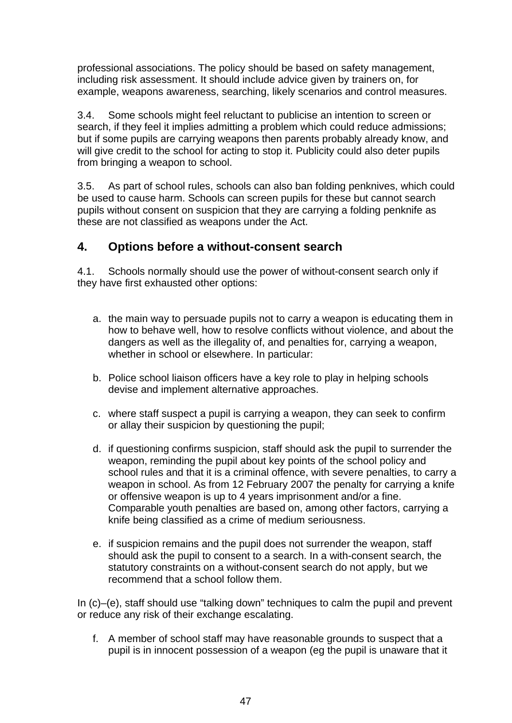professional associations. The policy should be based on safety management, including risk assessment. It should include advice given by trainers on, for example, weapons awareness, searching, likely scenarios and control measures.

3.4. Some schools might feel reluctant to publicise an intention to screen or search, if they feel it implies admitting a problem which could reduce admissions; but if some pupils are carrying weapons then parents probably already know, and will give credit to the school for acting to stop it. Publicity could also deter pupils from bringing a weapon to school.

3.5. As part of school rules, schools can also ban folding penknives, which could be used to cause harm. Schools can screen pupils for these but cannot search pupils without consent on suspicion that they are carrying a folding penknife as these are not classified as weapons under the Act.

### **4. Options before a without-consent search**

4.1. Schools normally should use the power of without-consent search only if they have first exhausted other options:

- a. the main way to persuade pupils not to carry a weapon is educating them in how to behave well, how to resolve conflicts without violence, and about the dangers as well as the illegality of, and penalties for, carrying a weapon, whether in school or elsewhere. In particular:
- b. Police school liaison officers have a key role to play in helping schools devise and implement alternative approaches.
- c.where staff suspect a pupil is carrying a weapon, they can seek to confirm or allay their suspicion by questioning the pupil;
- d. if questioning confirms suspicion, staff should ask the pupil to surrender the weapon, reminding the pupil about key points of the school policy and school rules and that it is a criminal offence, with severe penalties, to carry a weapon in school. As from 12 February 2007 the penalty for carrying a knife or offensive weapon is up to 4 years imprisonment and/or a fine. Comparable youth penalties are based on, among other factors, carrying a knife being classified as a crime of medium seriousness.
- e. if suspicion remains and the pupil does not surrender the weapon, staff should ask the pupil to consent to a search. In a with-consent search, the statutory constraints on a without-consent search do not apply, but we recommend that a school follow them.

In (c)–(e), staff should use "talking down" techniques to calm the pupil and prevent or reduce any risk of their exchange escalating.

f. A member of school staff may have reasonable grounds to suspect that a pupil is in innocent possession of a weapon (eg the pupil is unaware that it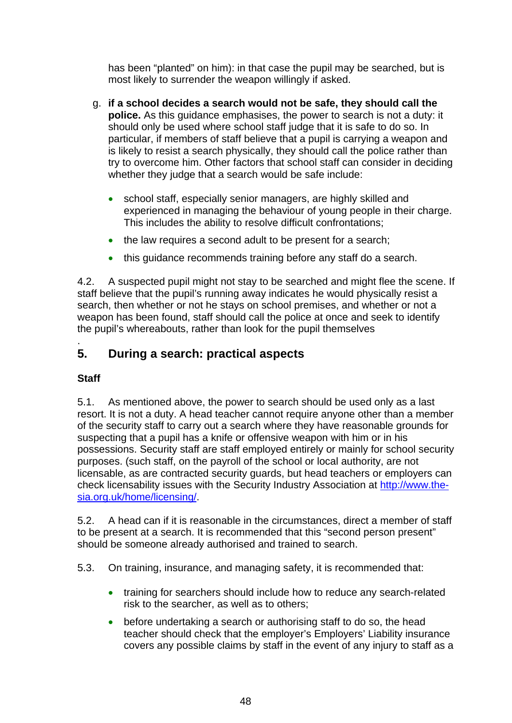has been "planted" on him): in that case the pupil may be searched, but is most likely to surrender the weapon willingly if asked.

- g. **if a school decides a search would not be safe, they should call the police.** As this guidance emphasises, the power to search is not a duty: it should only be used where school staff judge that it is safe to do so. In particular, if members of staff believe that a pupil is carrying a weapon and is likely to resist a search physically, they should call the police rather than try to overcome him. Other factors that school staff can consider in deciding whether they judge that a search would be safe include:
	- school staff, especially senior managers, are highly skilled and experienced in managing the behaviour of young people in their charge. This includes the ability to resolve difficult confrontations;
	- the law requires a second adult to be present for a search;
	- this guidance recommends training before any staff do a search.

4.2. A suspected pupil might not stay to be searched and might flee the scene. If staff believe that the pupil's running away indicates he would physically resist a search, then whether or not he stays on school premises, and whether or not a weapon has been found, staff should call the police at once and seek to identify the pupil's whereabouts, rather than look for the pupil themselves

### . **5. During a search: practical aspects**

### **Staff**

5.1. As mentioned above, the power to search should be used only as a last resort. It is not a duty. A head teacher cannot require anyone other than a member of the security staff to carry out a search where they have reasonable grounds for suspecting that a pupil has a knife or offensive weapon with him or in his possessions. Security staff are staff employed entirely or mainly for school security purposes. (such staff, on the payroll of the school or local authority, are not licensable, as are contracted security guards, but head teachers or employers can check licensability issues with the Security Industry Association at [http://www.the](http://www.the-sia.org.uk/home/licensing/)[sia.org.uk/home/licensing/.](http://www.the-sia.org.uk/home/licensing/)

5.2. A head can if it is reasonable in the circumstances, direct a member of staff to be present at a search. It is recommended that this "second person present" should be someone already authorised and trained to search.

5.3. On training, insurance, and managing safety, it is recommended that:

- training for searchers should include how to reduce any search-related risk to the searcher, as well as to others;
- before undertaking a search or authorising staff to do so, the head teacher should check that the employer's Employers' Liability insurance covers any possible claims by staff in the event of any injury to staff as a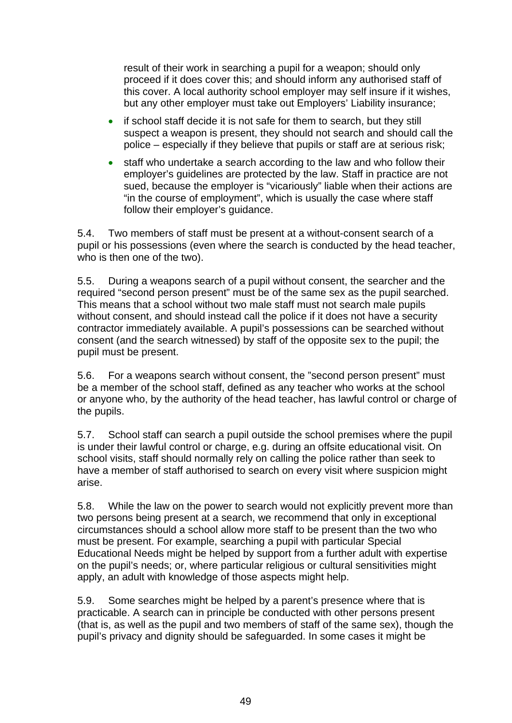result of their work in searching a pupil for a weapon; should only proceed if it does cover this; and should inform any authorised staff of this cover. A local authority school employer may self insure if it wishes, but any other employer must take out Employers' Liability insurance;

- if school staff decide it is not safe for them to search, but they still suspect a weapon is present, they should not search and should call the police – especially if they believe that pupils or staff are at serious risk;
- staff who undertake a search according to the law and who follow their employer's guidelines are protected by the law. Staff in practice are not sued, because the employer is "vicariously" liable when their actions are "in the course of employment", which is usually the case where staff follow their employer's guidance.

5.4. Two members of staff must be present at a without-consent search of a pupil or his possessions (even where the search is conducted by the head teacher, who is then one of the two).

5.5. During a weapons search of a pupil without consent, the searcher and the required "second person present" must be of the same sex as the pupil searched. This means that a school without two male staff must not search male pupils without consent, and should instead call the police if it does not have a security contractor immediately available. A pupil's possessions can be searched without consent (and the search witnessed) by staff of the opposite sex to the pupil; the pupil must be present.

5.6. For a weapons search without consent, the "second person present" must be a member of the school staff, defined as any teacher who works at the school or anyone who, by the authority of the head teacher, has lawful control or charge of the pupils.

5.7. School staff can search a pupil outside the school premises where the pupil is under their lawful control or charge, e.g. during an offsite educational visit. On school visits, staff should normally rely on calling the police rather than seek to have a member of staff authorised to search on every visit where suspicion might arise.

5.8. While the law on the power to search would not explicitly prevent more than two persons being present at a search, we recommend that only in exceptional circumstances should a school allow more staff to be present than the two who must be present. For example, searching a pupil with particular Special Educational Needs might be helped by support from a further adult with expertise on the pupil's needs; or, where particular religious or cultural sensitivities might apply, an adult with knowledge of those aspects might help.

5.9. Some searches might be helped by a parent's presence where that is practicable. A search can in principle be conducted with other persons present (that is, as well as the pupil and two members of staff of the same sex), though the pupil's privacy and dignity should be safeguarded. In some cases it might be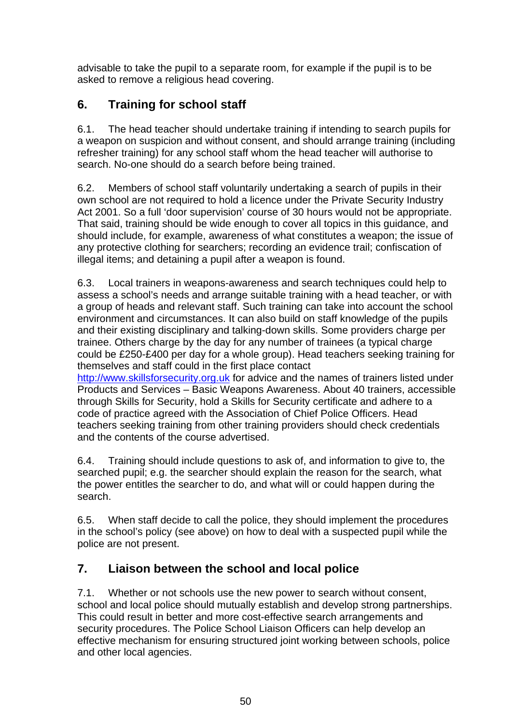advisable to take the pupil to a separate room, for example if the pupil is to be asked to remove a religious head covering.

# **6. Training for school staff**

6.1. The head teacher should undertake training if intending to search pupils for a weapon on suspicion and without consent, and should arrange training (including refresher training) for any school staff whom the head teacher will authorise to search. No-one should do a search before being trained.

6.2. Members of school staff voluntarily undertaking a search of pupils in their own school are not required to hold a licence under the Private Security Industry Act 2001. So a full 'door supervision' course of 30 hours would not be appropriate. That said, training should be wide enough to cover all topics in this guidance, and should include, for example, awareness of what constitutes a weapon; the issue of any protective clothing for searchers; recording an evidence trail; confiscation of illegal items; and detaining a pupil after a weapon is found.

6.3. Local trainers in weapons-awareness and search techniques could help to assess a school's needs and arrange suitable training with a head teacher, or with a group of heads and relevant staff. Such training can take into account the school environment and circumstances. It can also build on staff knowledge of the pupils and their existing disciplinary and talking-down skills. Some providers charge per trainee. Others charge by the day for any number of trainees (a typical charge could be £250-£400 per day for a whole group). Head teachers seeking training for themselves and staff could in the first place contact [http://www.skillsforsecurity.org.uk](http://www.skillsforsecurity.org.uk/) for advice and the names of trainers listed under Products and Services – Basic Weapons Awareness. About 40 trainers, accessible through Skills for Security, hold a Skills for Security certificate and adhere to a code of practice agreed with the Association of Chief Police Officers. Head teachers seeking training from other training providers should check credentials

and the contents of the course advertised. 6.4. Training should include questions to ask of, and information to give to, the searched pupil; e.g. the searcher should explain the reason for the search, what

the power entitles the searcher to do, and what will or could happen during the search.

6.5. When staff decide to call the police, they should implement the procedures in the school's policy (see above) on how to deal with a suspected pupil while the police are not present.

# **7. Liaison between the school and local police**

7.1. Whether or not schools use the new power to search without consent, school and local police should mutually establish and develop strong partnerships. This could result in better and more cost-effective search arrangements and security procedures. The Police School Liaison Officers can help develop an effective mechanism for ensuring structured joint working between schools, police and other local agencies.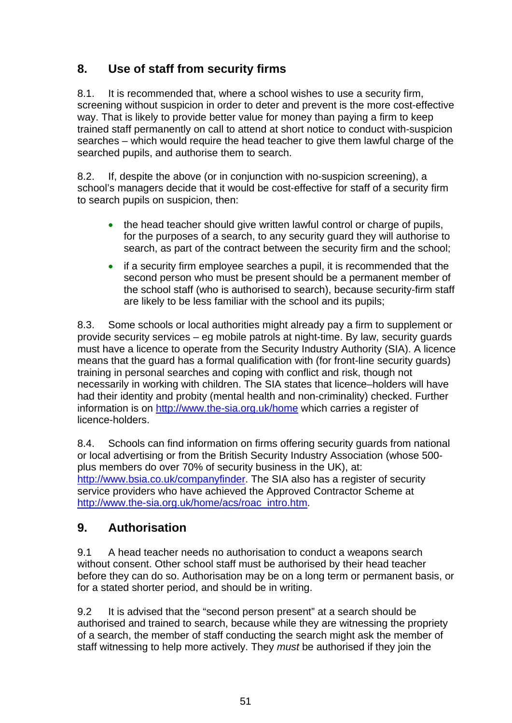# **8. Use of staff from security firms**

8.1. It is recommended that, where a school wishes to use a security firm, screening without suspicion in order to deter and prevent is the more cost-effective way. That is likely to provide better value for money than paying a firm to keep trained staff permanently on call to attend at short notice to conduct with-suspicion searches – which would require the head teacher to give them lawful charge of the searched pupils, and authorise them to search.

8.2. If, despite the above (or in conjunction with no-suspicion screening), a school's managers decide that it would be cost-effective for staff of a security firm to search pupils on suspicion, then:

- the head teacher should give written lawful control or charge of pupils, for the purposes of a search, to any security guard they will authorise to search, as part of the contract between the security firm and the school;
- if a security firm employee searches a pupil, it is recommended that the second person who must be present should be a permanent member of the school staff (who is authorised to search), because security-firm staff are likely to be less familiar with the school and its pupils;

8.3. Some schools or local authorities might already pay a firm to supplement or provide security services – eg mobile patrols at night-time. By law, security guards must have a licence to operate from the Security Industry Authority (SIA). A licence means that the guard has a formal qualification with (for front-line security guards) training in personal searches and coping with conflict and risk, though not necessarily in working with children. The SIA states that licence–holders will have had their identity and probity (mental health and non-criminality) checked. Further information is on<http://www.the-sia.org.uk/home>which carries a register of licence-holders.

8.4. Schools can find information on firms offering security guards from national or local advertising or from the British Security Industry Association (whose 500 plus members do over 70% of security business in the UK), at: <http://www.bsia.co.uk/companyfinder>. The SIA also has a register of security service providers who have achieved the Approved Contractor Scheme at [http://www.the-sia.org.uk/home/acs/roac\\_intro.htm](http://www.the-sia.org.uk/home/acs/roac_intro.htm).

### **9. Authorisation**

9.1 A head teacher needs no authorisation to conduct a weapons search without consent. Other school staff must be authorised by their head teacher before they can do so. Authorisation may be on a long term or permanent basis, or for a stated shorter period, and should be in writing.

9.2 It is advised that the "second person present" at a search should be authorised and trained to search, because while they are witnessing the propriety of a search, the member of staff conducting the search might ask the member of staff witnessing to help more actively. They *must* be authorised if they join the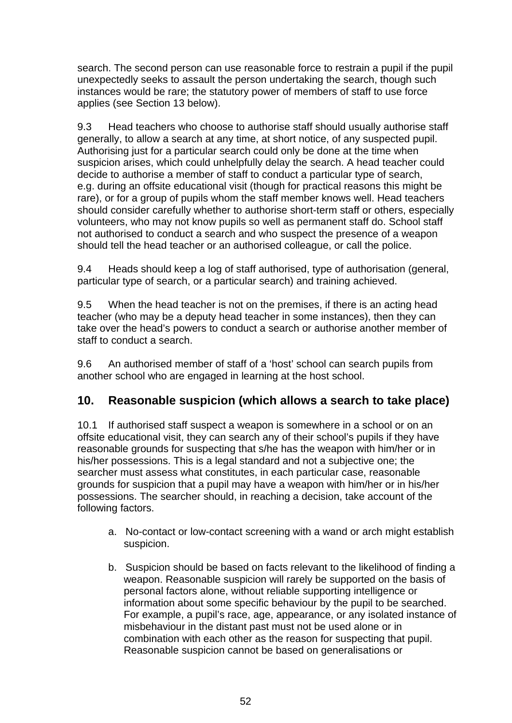search. The second person can use reasonable force to restrain a pupil if the pupil unexpectedly seeks to assault the person undertaking the search, though such instances would be rare; the statutory power of members of staff to use force applies (see Section 13 below).

9.3 Head teachers who choose to authorise staff should usually authorise staff generally, to allow a search at any time, at short notice, of any suspected pupil. Authorising just for a particular search could only be done at the time when suspicion arises, which could unhelpfully delay the search. A head teacher could decide to authorise a member of staff to conduct a particular type of search, e.g. during an offsite educational visit (though for practical reasons this might be rare), or for a group of pupils whom the staff member knows well. Head teachers should consider carefully whether to authorise short-term staff or others, especially volunteers, who may not know pupils so well as permanent staff do. School staff not authorised to conduct a search and who suspect the presence of a weapon should tell the head teacher or an authorised colleague, or call the police.

9.4 Heads should keep a log of staff authorised, type of authorisation (general, particular type of search, or a particular search) and training achieved.

9.5 When the head teacher is not on the premises, if there is an acting head teacher (who may be a deputy head teacher in some instances), then they can take over the head's powers to conduct a search or authorise another member of staff to conduct a search.

9.6 An authorised member of staff of a 'host' school can search pupils from another school who are engaged in learning at the host school.

### **10. Reasonable suspicion (which allows a search to take place)**

10.1 If authorised staff suspect a weapon is somewhere in a school or on an offsite educational visit, they can search any of their school's pupils if they have reasonable grounds for suspecting that s/he has the weapon with him/her or in his/her possessions. This is a legal standard and not a subjective one; the searcher must assess what constitutes, in each particular case, reasonable grounds for suspicion that a pupil may have a weapon with him/her or in his/her possessions. The searcher should, in reaching a decision, take account of the following factors.

- a. No-contact or low-contact screening with a wand or arch might establish suspicion.
- b. Suspicion should be based on facts relevant to the likelihood of finding a weapon. Reasonable suspicion will rarely be supported on the basis of personal factors alone, without reliable supporting intelligence or information about some specific behaviour by the pupil to be searched. For example, a pupil's race, age, appearance, or any isolated instance of misbehaviour in the distant past must not be used alone or in combination with each other as the reason for suspecting that pupil. Reasonable suspicion cannot be based on generalisations or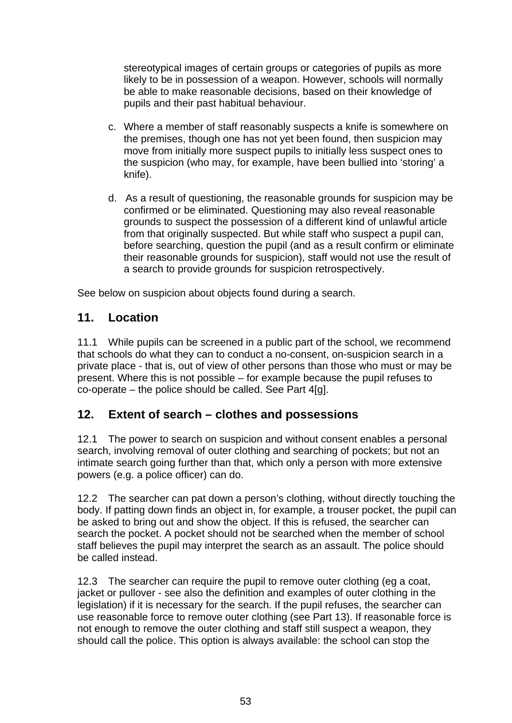stereotypical images of certain groups or categories of pupils as more likely to be in possession of a weapon. However, schools will normally be able to make reasonable decisions, based on their knowledge of pupils and their past habitual behaviour.

- c. Where a member of staff reasonably suspects a knife is somewhere on the premises, though one has not yet been found, then suspicion may move from initially more suspect pupils to initially less suspect ones to the suspicion (who may, for example, have been bullied into 'storing' a knife).
- d. As a result of questioning, the reasonable grounds for suspicion may be confirmed or be eliminated. Questioning may also reveal reasonable grounds to suspect the possession of a different kind of unlawful article from that originally suspected. But while staff who suspect a pupil can, before searching, question the pupil (and as a result confirm or eliminate their reasonable grounds for suspicion), staff would not use the result of a search to provide grounds for suspicion retrospectively.

See below on suspicion about objects found during a search.

### **11. Location**

11.1 While pupils can be screened in a public part of the school, we recommend that schools do what they can to conduct a no-consent, on-suspicion search in a private place - that is, out of view of other persons than those who must or may be present. Where this is not possible – for example because the pupil refuses to co-operate – the police should be called. See Part 4[g].

### **12. Extent of search – clothes and possessions**

12.1 The power to search on suspicion and without consent enables a personal search, involving removal of outer clothing and searching of pockets; but not an intimate search going further than that, which only a person with more extensive powers (e.g. a police officer) can do.

12.2 The searcher can pat down a person's clothing, without directly touching the body. If patting down finds an object in, for example, a trouser pocket, the pupil can be asked to bring out and show the object. If this is refused, the searcher can search the pocket. A pocket should not be searched when the member of school staff believes the pupil may interpret the search as an assault. The police should be called instead.

12.3 The searcher can require the pupil to remove outer clothing (eg a coat, jacket or pullover - see also the definition and examples of outer clothing in the legislation) if it is necessary for the search. If the pupil refuses, the searcher can use reasonable force to remove outer clothing (see Part 13). If reasonable force is not enough to remove the outer clothing and staff still suspect a weapon, they should call the police. This option is always available: the school can stop the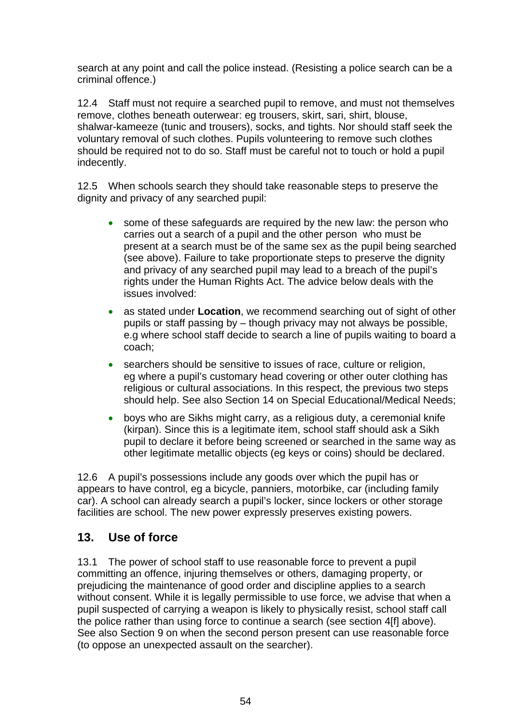search at any point and call the police instead. (Resisting a police search can be a criminal offence.)

12.4 Staff must not require a searched pupil to remove, and must not themselves remove, clothes beneath outerwear: eg trousers, skirt, sari, shirt, blouse, shalwar-kameeze (tunic and trousers), socks, and tights. Nor should staff seek the voluntary removal of such clothes. Pupils volunteering to remove such clothes should be required not to do so. Staff must be careful not to touch or hold a pupil indecently.

12.5 When schools search they should take reasonable steps to preserve the dignity and privacy of any searched pupil:

- some of these safeguards are required by the new law: the person who carries out a search of a pupil and the other person who must be present at a search must be of the same sex as the pupil being searched (see above). Failure to take proportionate steps to preserve the dignity and privacy of any searched pupil may lead to a breach of the pupil's rights under the Human Rights Act. The advice below deals with the issues involved:
- as stated under **Location**, we recommend searching out of sight of other pupils or staff passing by – though privacy may not always be possible, e.g where school staff decide to search a line of pupils waiting to board a coach;
- searchers should be sensitive to issues of race, culture or religion, eg where a pupil's customary head covering or other outer clothing has religious or cultural associations. In this respect, the previous two steps should help. See also Section 14 on Special Educational/Medical Needs;
- boys who are Sikhs might carry, as a religious duty, a ceremonial knife (kirpan). Since this is a legitimate item, school staff should ask a Sikh pupil to declare it before being screened or searched in the same way as other legitimate metallic objects (eg keys or coins) should be declared.

12.6 A pupil's possessions include any goods over which the pupil has or appears to have control, eg a bicycle, panniers, motorbike, car (including family car). A school can already search a pupil's locker, since lockers or other storage facilities are school. The new power expressly preserves existing powers.

### **13. Use of force**

13.1 The power of school staff to use reasonable force to prevent a pupil committing an offence, injuring themselves or others, damaging property, or prejudicing the maintenance of good order and discipline applies to a search without consent. While it is legally permissible to use force, we advise that when a pupil suspected of carrying a weapon is likely to physically resist, school staff call the police rather than using force to continue a search (see section 4[f] above). See also Section 9 on when the second person present can use reasonable force (to oppose an unexpected assault on the searcher).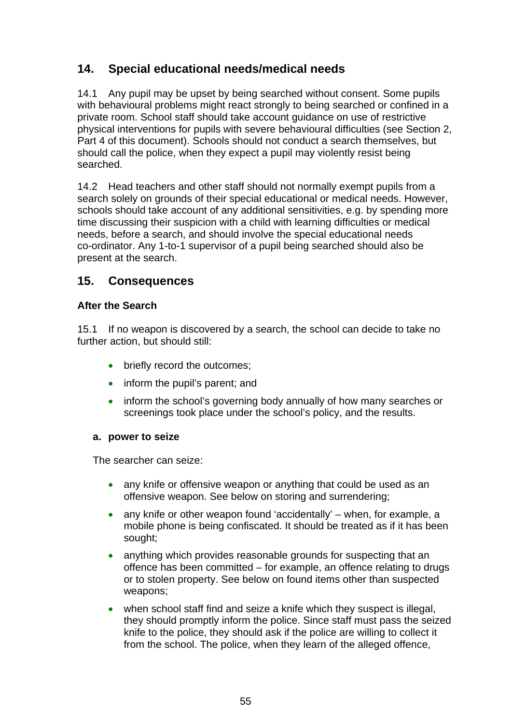### **14. Special educational needs/medical needs**

14.1 Any pupil may be upset by being searched without consent. Some pupils with behavioural problems might react strongly to being searched or confined in a private room. School staff should take account guidance on use of restrictive physical interventions for pupils with severe behavioural difficulties (see Section 2, Part 4 of this document). Schools should not conduct a search themselves, but should call the police, when they expect a pupil may violently resist being searched.

14.2 Head teachers and other staff should not normally exempt pupils from a search solely on grounds of their special educational or medical needs. However, schools should take account of any additional sensitivities, e.g. by spending more time discussing their suspicion with a child with learning difficulties or medical needs, before a search, and should involve the special educational needs co-ordinator. Any 1-to-1 supervisor of a pupil being searched should also be present at the search.

### **15. Consequences**

### **After the Search**

15.1 If no weapon is discovered by a search, the school can decide to take no further action, but should still:

- briefly record the outcomes;
- inform the pupil's parent; and
- inform the school's governing body annually of how many searches or screenings took place under the school's policy, and the results.

### **a. power to seize**

The searcher can seize:

- any knife or offensive weapon or anything that could be used as an offensive weapon. See below on storing and surrendering;
- any knife or other weapon found 'accidentally' when, for example, a mobile phone is being confiscated. It should be treated as if it has been sought;
- anything which provides reasonable grounds for suspecting that an offence has been committed – for example, an offence relating to drugs or to stolen property. See below on found items other than suspected weapons;
- when school staff find and seize a knife which they suspect is illegal, they should promptly inform the police. Since staff must pass the seized knife to the police, they should ask if the police are willing to collect it from the school. The police, when they learn of the alleged offence,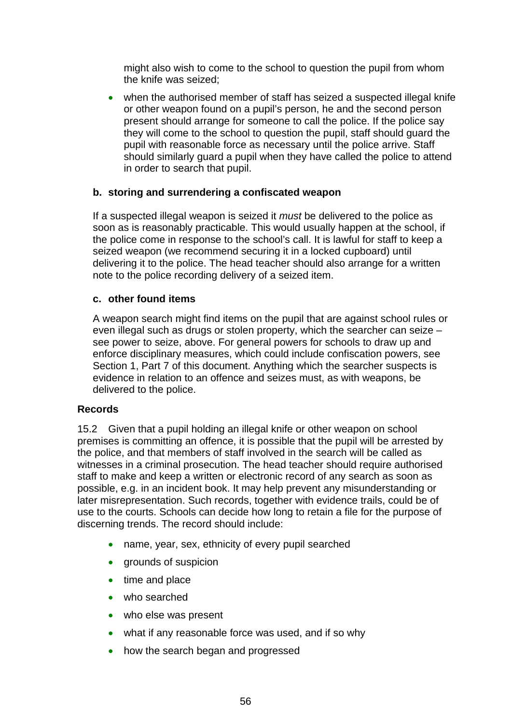might also wish to come to the school to question the pupil from whom the knife was seized;

• when the authorised member of staff has seized a suspected illegal knife or other weapon found on a pupil's person, he and the second person present should arrange for someone to call the police. If the police say they will come to the school to question the pupil, staff should guard the pupil with reasonable force as necessary until the police arrive. Staff should similarly guard a pupil when they have called the police to attend in order to search that pupil.

### **b. storing and surrendering a confiscated weapon**

If a suspected illegal weapon is seized it *must* be delivered to the police as soon as is reasonably practicable. This would usually happen at the school, if the police come in response to the school's call. It is lawful for staff to keep a seized weapon (we recommend securing it in a locked cupboard) until delivering it to the police. The head teacher should also arrange for a written note to the police recording delivery of a seized item.

### **c. other found items**

A weapon search might find items on the pupil that are against school rules or even illegal such as drugs or stolen property, which the searcher can seize – see power to seize, above. For general powers for schools to draw up and enforce disciplinary measures, which could include confiscation powers, see Section 1, Part 7 of this document. Anything which the searcher suspects is evidence in relation to an offence and seizes must, as with weapons, be delivered to the police.

### **Records**

15.2 Given that a pupil holding an illegal knife or other weapon on school premises is committing an offence, it is possible that the pupil will be arrested by the police, and that members of staff involved in the search will be called as witnesses in a criminal prosecution. The head teacher should require authorised staff to make and keep a written or electronic record of any search as soon as possible, e.g. in an incident book. It may help prevent any misunderstanding or later misrepresentation. Such records, together with evidence trails, could be of use to the courts. Schools can decide how long to retain a file for the purpose of discerning trends. The record should include:

- name, year, sex, ethnicity of every pupil searched
- grounds of suspicion
- time and place
- who searched
- who else was present
- what if any reasonable force was used, and if so why
- how the search began and progressed